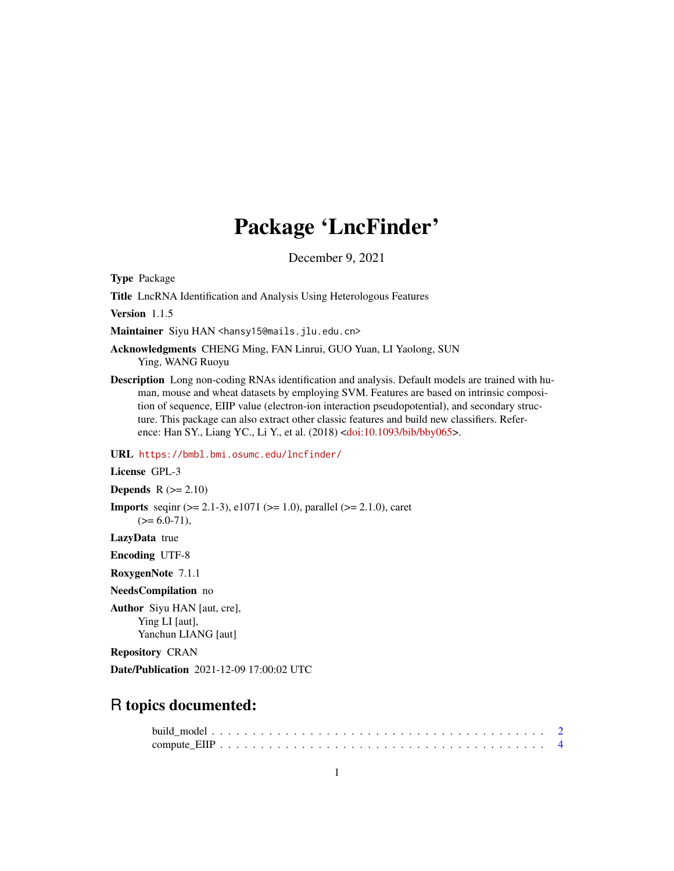## Package 'LncFinder'

December 9, 2021

<span id="page-0-0"></span>Type Package

Title LncRNA Identification and Analysis Using Heterologous Features

Version 1.1.5

Maintainer Siyu HAN <hansy15@mails.jlu.edu.cn>

Acknowledgments CHENG Ming, FAN Linrui, GUO Yuan, LI Yaolong, SUN Ying, WANG Ruoyu

Description Long non-coding RNAs identification and analysis. Default models are trained with human, mouse and wheat datasets by employing SVM. Features are based on intrinsic composition of sequence, EIIP value (electron-ion interaction pseudopotential), and secondary structure. This package can also extract other classic features and build new classifiers. Reference: Han SY., Liang YC., Li Y., et al. (2018) [<doi:10.1093/bib/bby065>](https://doi.org/10.1093/bib/bby065).

URL <https://bmbl.bmi.osumc.edu/lncfinder/>

License GPL-3

Depends  $R$  ( $>= 2.10$ )

**Imports** seqint  $(>= 2.1-3)$ , e1071  $(>= 1.0)$ , parallel  $(>= 2.1.0)$ , caret  $(>= 6.0 - 71),$ 

LazyData true

Encoding UTF-8

RoxygenNote 7.1.1

NeedsCompilation no

Author Siyu HAN [aut, cre], Ying LI [aut], Yanchun LIANG [aut]

Repository CRAN

Date/Publication 2021-12-09 17:00:02 UTC

## R topics documented: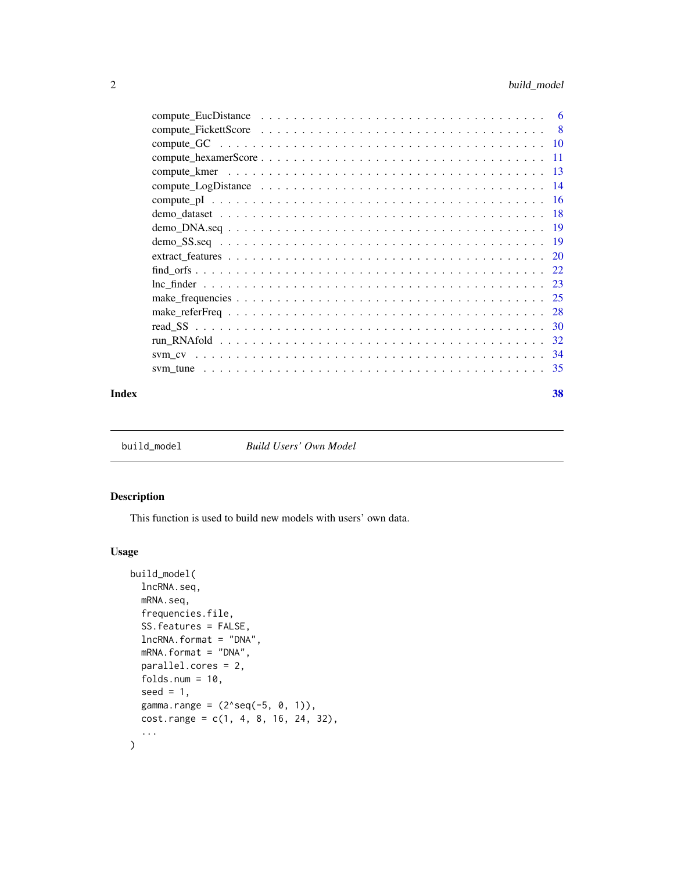<span id="page-1-0"></span>

| -6 |
|----|
|    |
|    |
|    |
|    |
|    |
|    |
|    |
|    |
|    |
|    |
|    |
|    |
|    |
|    |
|    |
|    |
| 34 |
|    |
|    |

#### **Index** [38](#page-37-0)

<span id="page-1-1"></span>build\_model *Build Users' Own Model*

## Description

This function is used to build new models with users' own data.

## Usage

```
build_model(
  lncRNA.seq,
 mRNA.seq,
 frequencies.file,
  SS.features = FALSE,
  lncRNA.format = "DNA",
 mRNA.format = "DNA",
 parallel.cores = 2,
  folds.num = 10,
  seed = 1,
 gamma.range = (2 \text{seq}(-5, 0, 1)),cost.random = c(1, 4, 8, 16, 24, 32),...
\mathcal{L}
```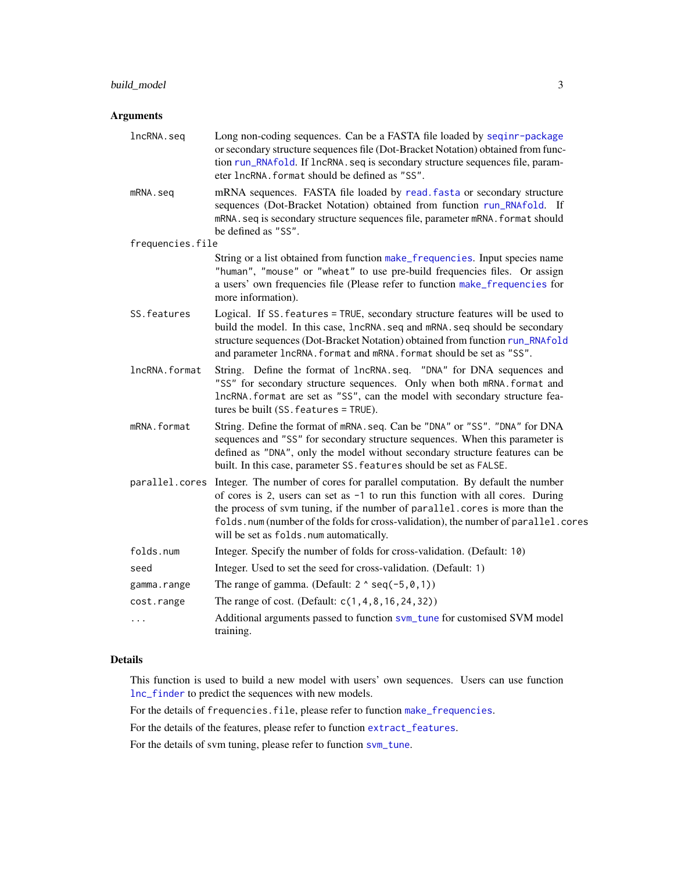## <span id="page-2-0"></span>Arguments

| lncRNA.seq       | Long non-coding sequences. Can be a FASTA file loaded by seqinr-package<br>or secondary structure sequences file (Dot-Bracket Notation) obtained from func-<br>tion run_RNAfold. If lncRNA. seq is secondary structure sequences file, param-<br>eter lncRNA. format should be defined as "SS".                                                                                 |
|------------------|---------------------------------------------------------------------------------------------------------------------------------------------------------------------------------------------------------------------------------------------------------------------------------------------------------------------------------------------------------------------------------|
| mRNA.seq         | mRNA sequences. FASTA file loaded by read. fasta or secondary structure<br>sequences (Dot-Bracket Notation) obtained from function run_RNAfold. If<br>mRNA. seq is secondary structure sequences file, parameter mRNA. format should<br>be defined as "SS".                                                                                                                     |
| frequencies.file |                                                                                                                                                                                                                                                                                                                                                                                 |
|                  | String or a list obtained from function make_frequencies. Input species name<br>"human", "mouse" or "wheat" to use pre-build frequencies files. Or assign<br>a users' own frequencies file (Please refer to function make_frequencies for<br>more information).                                                                                                                 |
| SS. features     | Logical. If SS. features = TRUE, secondary structure features will be used to<br>build the model. In this case, 1ncRNA. seq and mRNA. seq should be secondary<br>structure sequences (Dot-Bracket Notation) obtained from function run_RNAfold<br>and parameter lncRNA. format and mRNA. format should be set as "SS".                                                          |
| lncRNA.format    | String. Define the format of lncRNA.seq. "DNA" for DNA sequences and<br>"SS" for secondary structure sequences. Only when both mRNA. format and<br>IncRNA. format are set as "SS", can the model with secondary structure fea-<br>tures be built (SS. features = TRUE).                                                                                                         |
| mRNA.format      | String. Define the format of mRNA. seq. Can be "DNA" or "SS". "DNA" for DNA<br>sequences and "SS" for secondary structure sequences. When this parameter is<br>defined as "DNA", only the model without secondary structure features can be<br>built. In this case, parameter SS. features should be set as FALSE.                                                              |
| parallel.cores   | Integer. The number of cores for parallel computation. By default the number<br>of cores is 2, users can set as -1 to run this function with all cores. During<br>the process of svm tuning, if the number of parallel.cores is more than the<br>folds.num (number of the folds for cross-validation), the number of parallel.cores<br>will be set as folds. num automatically. |
| folds.num        | Integer. Specify the number of folds for cross-validation. (Default: 10)                                                                                                                                                                                                                                                                                                        |
| seed             | Integer. Used to set the seed for cross-validation. (Default: 1)                                                                                                                                                                                                                                                                                                                |
| gamma.range      | The range of gamma. (Default: $2 \land \text{seq}(-5, 0, 1)$ )                                                                                                                                                                                                                                                                                                                  |
| cost.range       | The range of cost. (Default: c(1,4,8,16,24,32))                                                                                                                                                                                                                                                                                                                                 |
| .                | Additional arguments passed to function svm_tune for customised SVM model<br>training.                                                                                                                                                                                                                                                                                          |

## Details

This function is used to build a new model with users' own sequences. Users can use function [lnc\\_finder](#page-22-1) to predict the sequences with new models.

For the details of frequencies. file, please refer to function [make\\_frequencies](#page-24-1).

For the details of the features, please refer to function [extract\\_features](#page-19-1).

For the details of svm tuning, please refer to function [svm\\_tune](#page-34-1).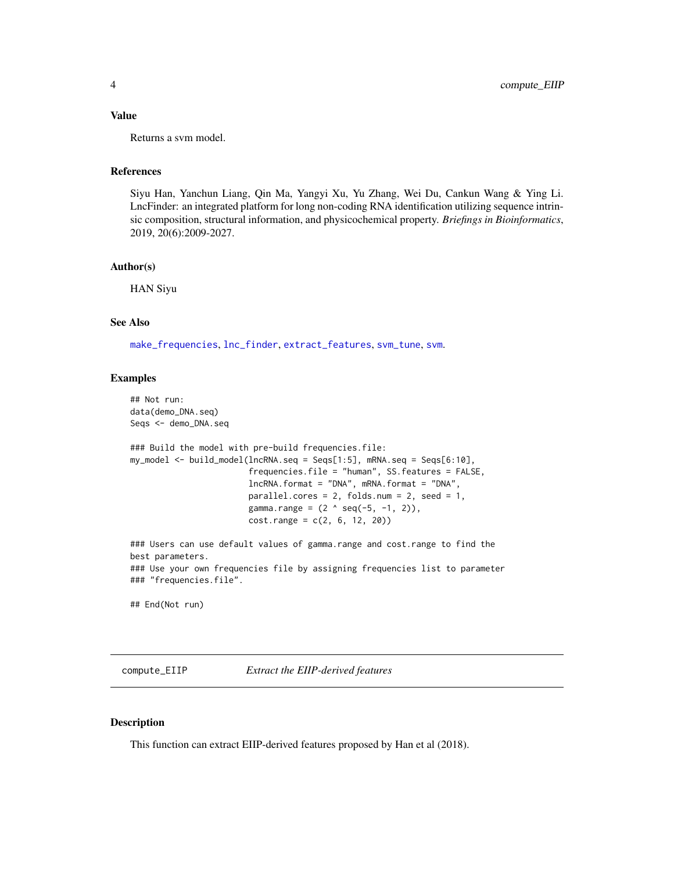#### <span id="page-3-0"></span>Value

Returns a svm model.

#### References

Siyu Han, Yanchun Liang, Qin Ma, Yangyi Xu, Yu Zhang, Wei Du, Cankun Wang & Ying Li. LncFinder: an integrated platform for long non-coding RNA identification utilizing sequence intrinsic composition, structural information, and physicochemical property. *Briefings in Bioinformatics*, 2019, 20(6):2009-2027.

#### Author(s)

HAN Siyu

#### See Also

[make\\_frequencies](#page-24-1), [lnc\\_finder](#page-22-1), [extract\\_features](#page-19-1), [svm\\_tune](#page-34-1), [svm](#page-0-0).

#### Examples

```
## Not run:
data(demo_DNA.seq)
Seqs <- demo_DNA.seq
### Build the model with pre-build frequencies.file:
my_model <- build_model(lncRNA.seq = Seqs[1:5], mRNA.seq = Seqs[6:10],
                        frequencies.file = "human", SS.features = FALSE,
                        lncRNA.format = "DNA", mRNA.format = "DNA",
                        parallel.cores = 2, folds.num = 2, seed = 1,
                        gamma.range = (2 \land seq(-5, -1, 2)),cost.random = c(2, 6, 12, 20)### Users can use default values of gamma.range and cost.range to find the
best parameters.
### Use your own frequencies file by assigning frequencies list to parameter
### "frequencies.file".
## End(Not run)
```
compute\_EIIP *Extract the EIIP-derived features*

#### Description

This function can extract EIIP-derived features proposed by Han et al (2018).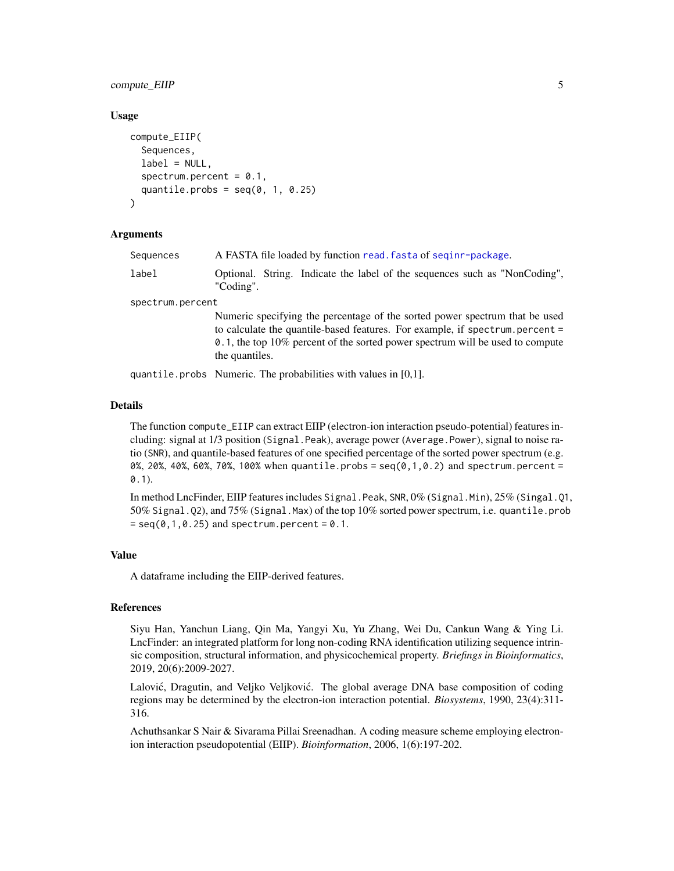## <span id="page-4-0"></span>compute\_EIIP 5

#### Usage

```
compute_EIIP(
  Sequences,
  label = NULL,spectrum.percent = 0.1,
  quantile.probs = seq(0, 1, 0.25))
```
#### Arguments

| Sequences        | A FASTA file loaded by function read. fasta of seginr-package.                                                                                                                                                                                                 |
|------------------|----------------------------------------------------------------------------------------------------------------------------------------------------------------------------------------------------------------------------------------------------------------|
| label            | Optional. String. Indicate the label of the sequences such as "NonCoding",<br>"Coding".                                                                                                                                                                        |
| spectrum.percent |                                                                                                                                                                                                                                                                |
|                  | Numeric specifying the percentage of the sorted power spectrum that be used<br>to calculate the quantile-based features. For example, if spectrum percent =<br>0.1, the top 10% percent of the sorted power spectrum will be used to compute<br>the quantiles. |
|                  |                                                                                                                                                                                                                                                                |

quantile.probs Numeric. The probabilities with values in [0,1].

## Details

The function compute\_EIIP can extract EIIP (electron-ion interaction pseudo-potential) features including: signal at 1/3 position (Signal.Peak), average power (Average.Power), signal to noise ratio (SNR), and quantile-based features of one specified percentage of the sorted power spectrum (e.g. 0%, 20%, 40%, 60%, 70%, 100% when quantile.probs =  $seq(0, 1, 0.2)$  and spectrum.percent = 0.1).

In method LncFinder, EIIP features includes Signal.Peak, SNR, 0% (Signal.Min), 25% (Singal.Q1, 50% Signal.Q2), and 75% (Signal.Max) of the top 10% sorted power spectrum, i.e. quantile.prob  $=$  seq(0,1,0.25) and spectrum.percent = 0.1.

#### Value

A dataframe including the EIIP-derived features.

#### References

Siyu Han, Yanchun Liang, Qin Ma, Yangyi Xu, Yu Zhang, Wei Du, Cankun Wang & Ying Li. LncFinder: an integrated platform for long non-coding RNA identification utilizing sequence intrinsic composition, structural information, and physicochemical property. *Briefings in Bioinformatics*, 2019, 20(6):2009-2027.

Lalović, Dragutin, and Veljko Veljković. The global average DNA base composition of coding regions may be determined by the electron-ion interaction potential. *Biosystems*, 1990, 23(4):311- 316.

Achuthsankar S Nair & Sivarama Pillai Sreenadhan. A coding measure scheme employing electronion interaction pseudopotential (EIIP). *Bioinformation*, 2006, 1(6):197-202.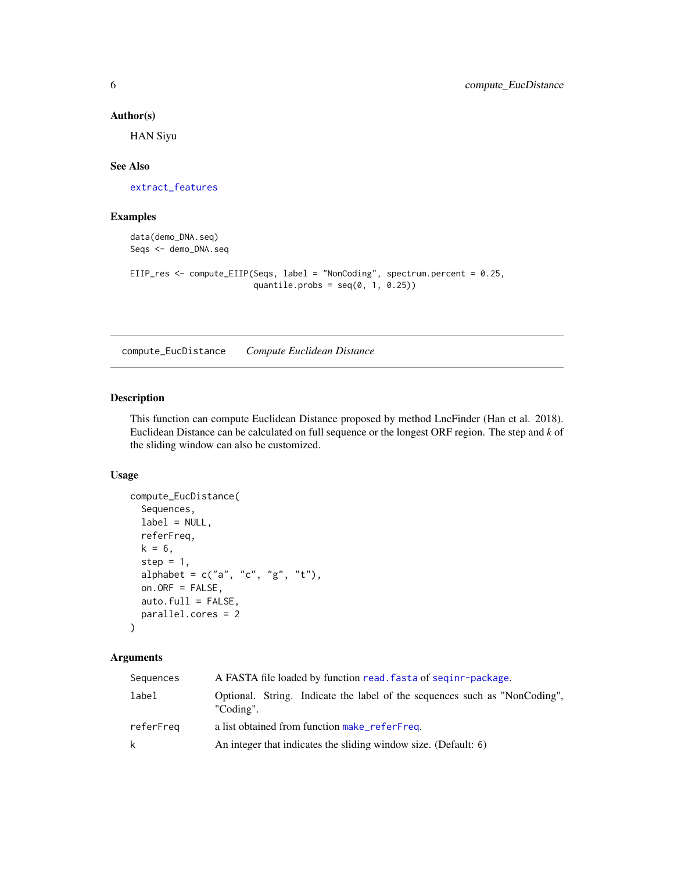#### <span id="page-5-0"></span>Author(s)

HAN Siyu

## See Also

[extract\\_features](#page-19-1)

## Examples

data(demo\_DNA.seq) Seqs <- demo\_DNA.seq

```
EIIP_res <- compute_EIIP(Seqs, label = "NonCoding", spectrum.percent = 0.25,
                        quantile.probs = seq(0, 1, 0.25))
```
<span id="page-5-1"></span>compute\_EucDistance *Compute Euclidean Distance*

## Description

This function can compute Euclidean Distance proposed by method LncFinder (Han et al. 2018). Euclidean Distance can be calculated on full sequence or the longest ORF region. The step and *k* of the sliding window can also be customized.

## Usage

```
compute_EucDistance(
  Sequences,
  label = NULL,referFreq,
  k = 6,
  step = 1,
  alphabet = c("a", "c", "g", "t"),
  on.ORF = FALSE,
  auto.full = FALSE,
  parallel.cores = 2
)
```
## Arguments

| Sequences | A FASTA file loaded by function read. fasta of seginr-package.                          |
|-----------|-----------------------------------------------------------------------------------------|
| label     | Optional. String. Indicate the label of the sequences such as "NonCoding",<br>"Coding". |
| referFreg | a list obtained from function make_referFreq.                                           |
| k         | An integer that indicates the sliding window size. (Default: 6)                         |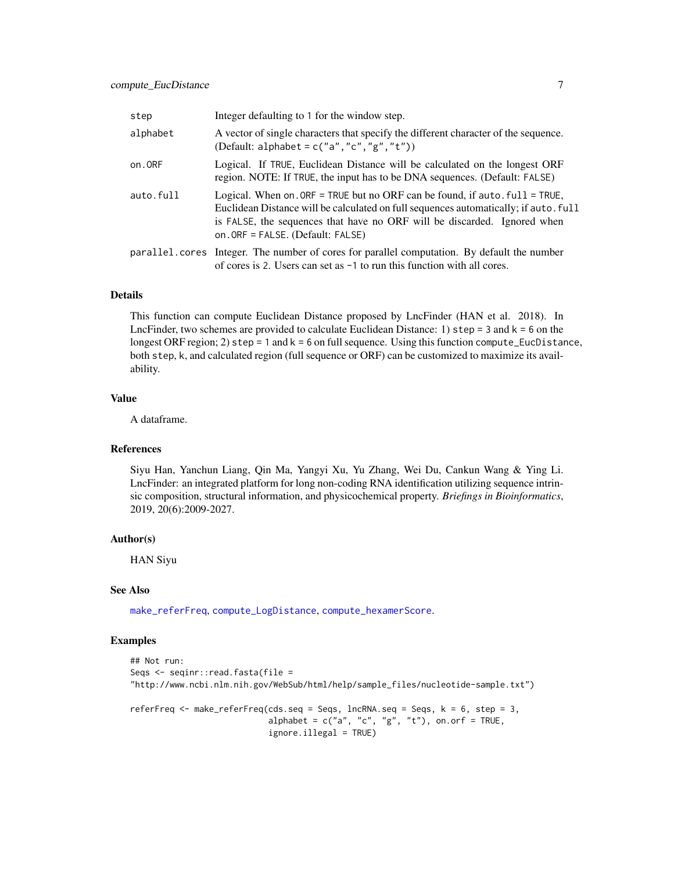<span id="page-6-0"></span>

| step      | Integer defaulting to 1 for the window step.                                                                                                                                                                                                                                            |
|-----------|-----------------------------------------------------------------------------------------------------------------------------------------------------------------------------------------------------------------------------------------------------------------------------------------|
| alphabet  | A vector of single characters that specify the different character of the sequence.<br>(Default: alphabet = $c("a", "c", "g", "t"))$ )                                                                                                                                                  |
| on.ORF    | Logical. If TRUE, Euclidean Distance will be calculated on the longest ORF<br>region. NOTE: If TRUE, the input has to be DNA sequences. (Default: FALSE)                                                                                                                                |
| auto.full | Logical. When on $ORF = TRUE$ but no ORF can be found, if auto $full = TRUE$ ,<br>Euclidean Distance will be calculated on full sequences automatically; if auto. full<br>is FALSE, the sequences that have no ORF will be discarded. Ignored when<br>on. ORF = FALSE. (Default: FALSE) |
|           | parallel.cores Integer. The number of cores for parallel computation. By default the number<br>of cores is 2. Users can set as $-1$ to run this function with all cores.                                                                                                                |

#### Details

This function can compute Euclidean Distance proposed by LncFinder (HAN et al. 2018). In LncFinder, two schemes are provided to calculate Euclidean Distance: 1)  $step = 3$  and  $k = 6$  on the longest ORF region; 2) step = 1 and  $k = 6$  on full sequence. Using this function compute\_EucDistance, both step, k, and calculated region (full sequence or ORF) can be customized to maximize its availability.

## Value

A dataframe.

#### References

Siyu Han, Yanchun Liang, Qin Ma, Yangyi Xu, Yu Zhang, Wei Du, Cankun Wang & Ying Li. LncFinder: an integrated platform for long non-coding RNA identification utilizing sequence intrinsic composition, structural information, and physicochemical property. *Briefings in Bioinformatics*, 2019, 20(6):2009-2027.

#### Author(s)

HAN Siyu

#### See Also

[make\\_referFreq](#page-27-1), [compute\\_LogDistance](#page-13-1), [compute\\_hexamerScore](#page-10-1).

#### Examples

```
## Not run:
Seqs <- seqinr::read.fasta(file =
"http://www.ncbi.nlm.nih.gov/WebSub/html/help/sample_files/nucleotide-sample.txt")
referFreq \leq make_referFreq(cds.seq = Seqs, lncRNA.seq = Seqs, k = 6, step = 3,
                            alphabet = c("a", "c", "g", "t"), on.orf = TRUE,ignore.illegal = TRUE)
```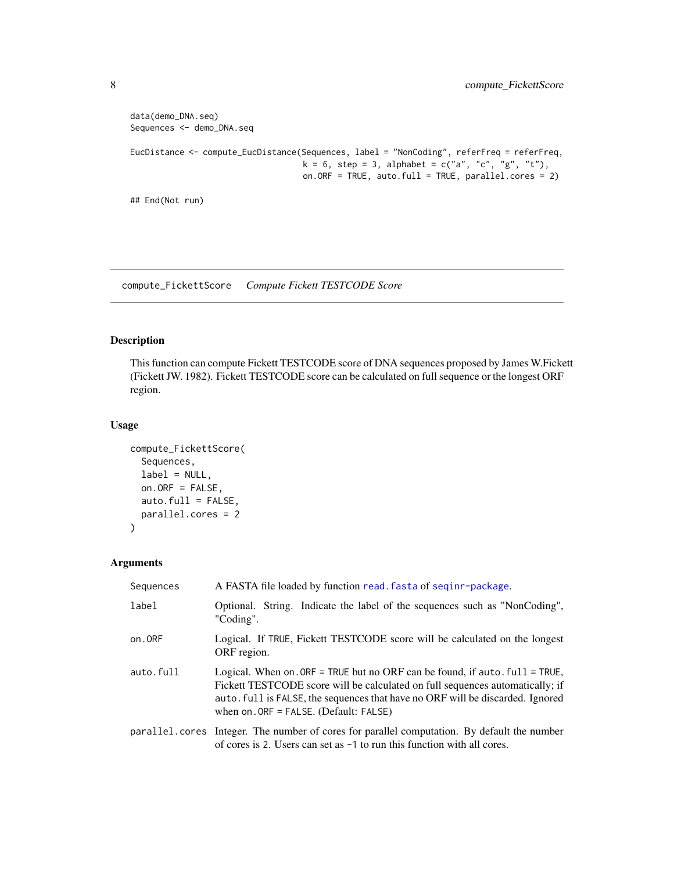```
data(demo_DNA.seq)
Sequences <- demo_DNA.seq
EucDistance <- compute_EucDistance(Sequences, label = "NonCoding", referFreq = referFreq,
                                   k = 6, step = 3, alphabet = c("a", "c", "g", "t"),
                                   on.ORF = TRUE, auto.full = TRUE, parallel.cores = 2)
## End(Not run)
```
compute\_FickettScore *Compute Fickett TESTCODE Score*

## Description

This function can compute Fickett TESTCODE score of DNA sequences proposed by James W.Fickett (Fickett JW. 1982). Fickett TESTCODE score can be calculated on full sequence or the longest ORF region.

## Usage

```
compute_FickettScore(
  Sequences,
  label = NULL,on.ORF = FALSE,auto.full = FALSE,
 parallel.cores = 2
\mathcal{L}
```
## Arguments

| Sequences | A FASTA file loaded by function read. fasta of seginr-package.                                                                                                                                                                                                                                |
|-----------|-----------------------------------------------------------------------------------------------------------------------------------------------------------------------------------------------------------------------------------------------------------------------------------------------|
| label     | Optional. String. Indicate the label of the sequences such as "NonCoding",<br>"Coding".                                                                                                                                                                                                       |
| on.ORF    | Logical. If TRUE, Fickett TESTCODE score will be calculated on the longest<br>ORF region.                                                                                                                                                                                                     |
| auto.full | Logical. When on $ORF = TRUE$ but no ORF can be found, if auto $full = TRUE$ ,<br>Fickett TESTCODE score will be calculated on full sequences automatically; if<br>auto. full is FALSE, the sequences that have no ORF will be discarded. Ignored<br>when on $ORF = FALSE$ . (Default: FALSE) |
|           | parallel.cores Integer. The number of cores for parallel computation. By default the number<br>of cores is 2. Users can set as $-1$ to run this function with all cores.                                                                                                                      |

<span id="page-7-0"></span>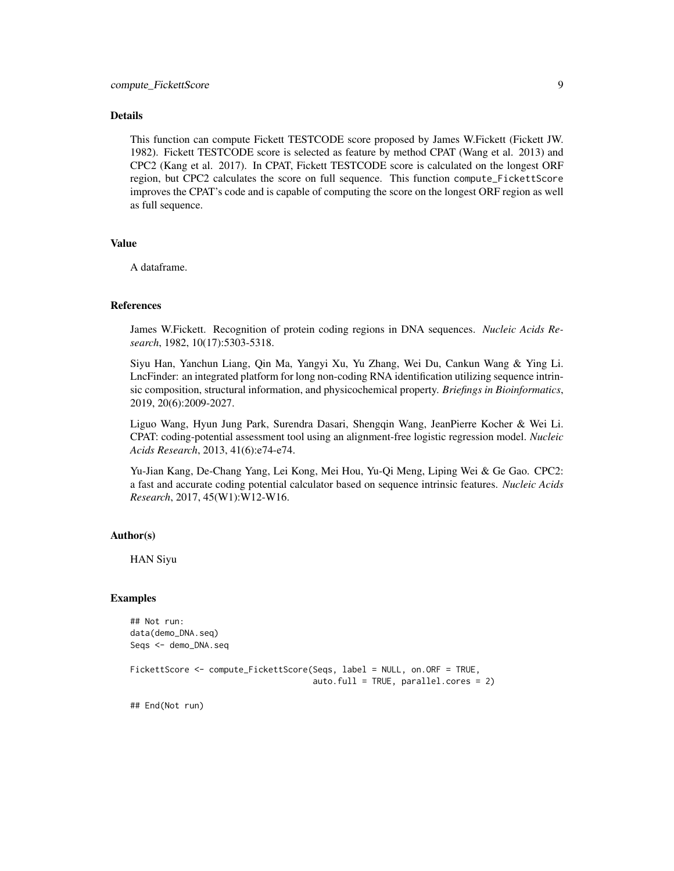#### Details

This function can compute Fickett TESTCODE score proposed by James W.Fickett (Fickett JW. 1982). Fickett TESTCODE score is selected as feature by method CPAT (Wang et al. 2013) and CPC2 (Kang et al. 2017). In CPAT, Fickett TESTCODE score is calculated on the longest ORF region, but CPC2 calculates the score on full sequence. This function compute\_FickettScore improves the CPAT's code and is capable of computing the score on the longest ORF region as well as full sequence.

#### Value

A dataframe.

#### References

James W.Fickett. Recognition of protein coding regions in DNA sequences. *Nucleic Acids Research*, 1982, 10(17):5303-5318.

Siyu Han, Yanchun Liang, Qin Ma, Yangyi Xu, Yu Zhang, Wei Du, Cankun Wang & Ying Li. LncFinder: an integrated platform for long non-coding RNA identification utilizing sequence intrinsic composition, structural information, and physicochemical property. *Briefings in Bioinformatics*, 2019, 20(6):2009-2027.

Liguo Wang, Hyun Jung Park, Surendra Dasari, Shengqin Wang, JeanPierre Kocher & Wei Li. CPAT: coding-potential assessment tool using an alignment-free logistic regression model. *Nucleic Acids Research*, 2013, 41(6):e74-e74.

Yu-Jian Kang, De-Chang Yang, Lei Kong, Mei Hou, Yu-Qi Meng, Liping Wei & Ge Gao. CPC2: a fast and accurate coding potential calculator based on sequence intrinsic features. *Nucleic Acids Research*, 2017, 45(W1):W12-W16.

#### Author(s)

HAN Siyu

#### Examples

## Not run: data(demo\_DNA.seq) Seqs <- demo\_DNA.seq

FickettScore <- compute\_FickettScore(Seqs, label = NULL, on.ORF = TRUE, auto.full = TRUE, parallel.cores = 2)

## End(Not run)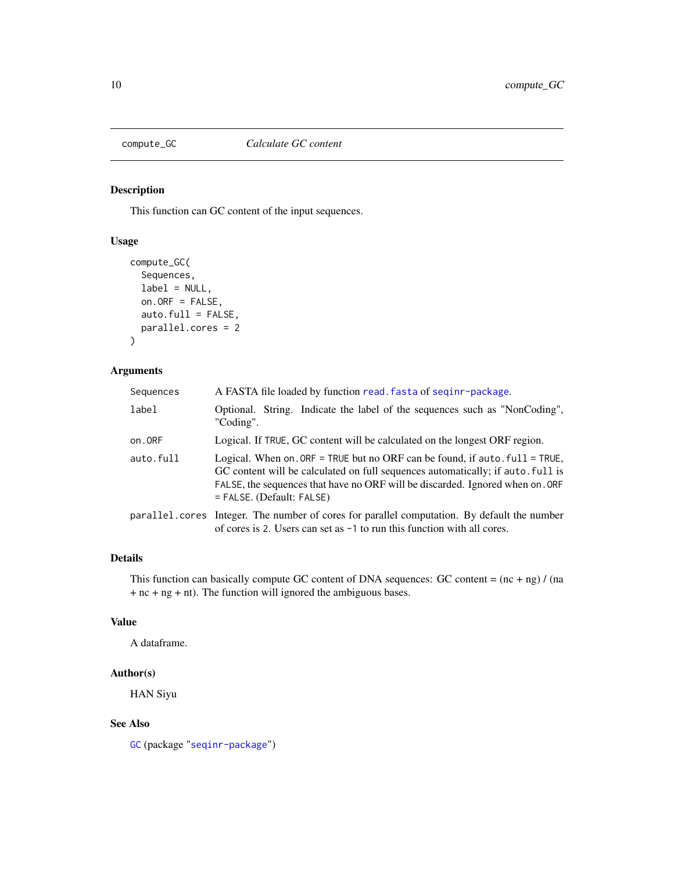<span id="page-9-0"></span>

## Description

This function can GC content of the input sequences.

## Usage

```
compute_GC(
  Sequences,
  label = NULL,
  on.ORF = FALSE,
  auto.full = FALSE,
  parallel.cores = 2
\mathcal{L}
```
## Arguments

| Sequences | A FASTA file loaded by function read. fasta of seginr-package.                                                                                                                                                                                                                                 |
|-----------|------------------------------------------------------------------------------------------------------------------------------------------------------------------------------------------------------------------------------------------------------------------------------------------------|
| label     | Optional. String. Indicate the label of the sequences such as "NonCoding",<br>"Coding".                                                                                                                                                                                                        |
| on.ORF    | Logical. If TRUE, GC content will be calculated on the longest ORF region.                                                                                                                                                                                                                     |
| auto.full | Logical. When on ORF = TRUE but no ORF can be found, if auto $. \text{full} = \text{TRUE}$ ,<br>GC content will be calculated on full sequences automatically; if auto. full is<br>FALSE, the sequences that have no ORF will be discarded. Ignored when on . ORF<br>= FALSE. (Default: FALSE) |
|           | parallel.cores Integer. The number of cores for parallel computation. By default the number<br>of cores is 2. Users can set as $-1$ to run this function with all cores.                                                                                                                       |

## Details

This function can basically compute GC content of DNA sequences: GC content =  $(nc + ng) / (na)$ + nc + ng + nt). The function will ignored the ambiguous bases.

#### Value

A dataframe.

## Author(s)

HAN Siyu

## See Also

[GC](#page-0-0) (package "[seqinr-package](#page-0-0)")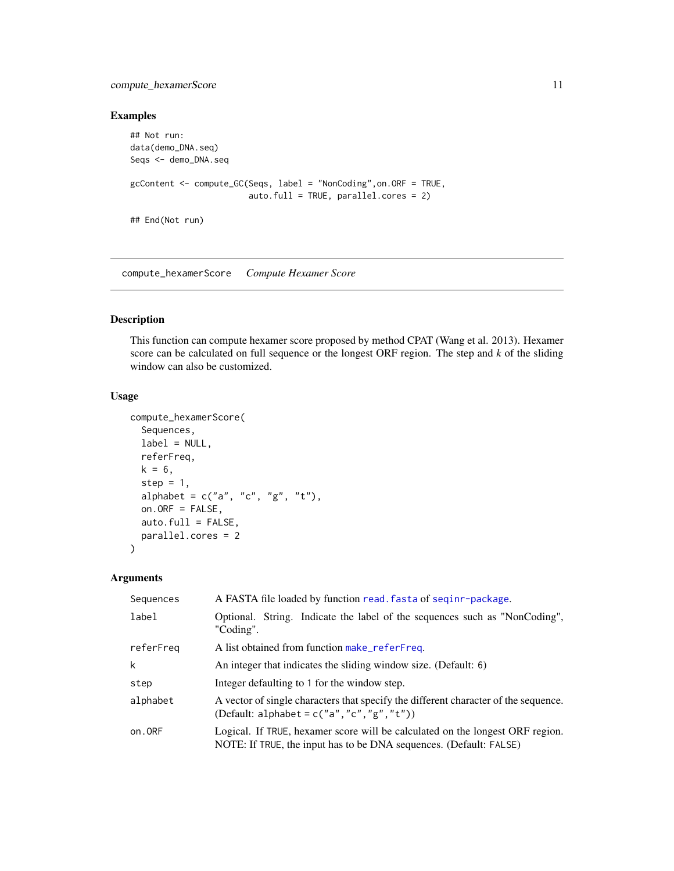## <span id="page-10-0"></span>compute\_hexamerScore 11

## Examples

```
## Not run:
data(demo_DNA.seq)
Seqs <- demo_DNA.seq
gcContent <- compute_GC(Seqs, label = "NonCoding",on.ORF = TRUE,
                        auto.full = TRUE, parallel.cores = 2)
## End(Not run)
```
<span id="page-10-1"></span>compute\_hexamerScore *Compute Hexamer Score*

## Description

This function can compute hexamer score proposed by method CPAT (Wang et al. 2013). Hexamer score can be calculated on full sequence or the longest ORF region. The step and *k* of the sliding window can also be customized.

## Usage

```
compute_hexamerScore(
  Sequences,
  label = NULL,referFreq,
 k = 6,
  step = 1,
  alphabet = c("a", "c", "g", "t"),
  on.ORF = FALSE,
  auto.full = FALSE,parallel.cores = 2
)
```
#### Arguments

| Sequences | A FASTA file loaded by function read. fasta of seginr-package.                                                                                      |
|-----------|-----------------------------------------------------------------------------------------------------------------------------------------------------|
| label     | Optional. String. Indicate the label of the sequences such as "NonCoding",<br>"Coding".                                                             |
| referFreg | A list obtained from function make_referFreq.                                                                                                       |
| k         | An integer that indicates the sliding window size. (Default: 6)                                                                                     |
| step      | Integer defaulting to 1 for the window step.                                                                                                        |
| alphabet  | A vector of single characters that specify the different character of the sequence.<br>(Default: alphabet = $c("a", "c", "g", "t"))$ )              |
| on.ORF    | Logical. If TRUE, hexamer score will be calculated on the longest ORF region.<br>NOTE: If TRUE, the input has to be DNA sequences. (Default: FALSE) |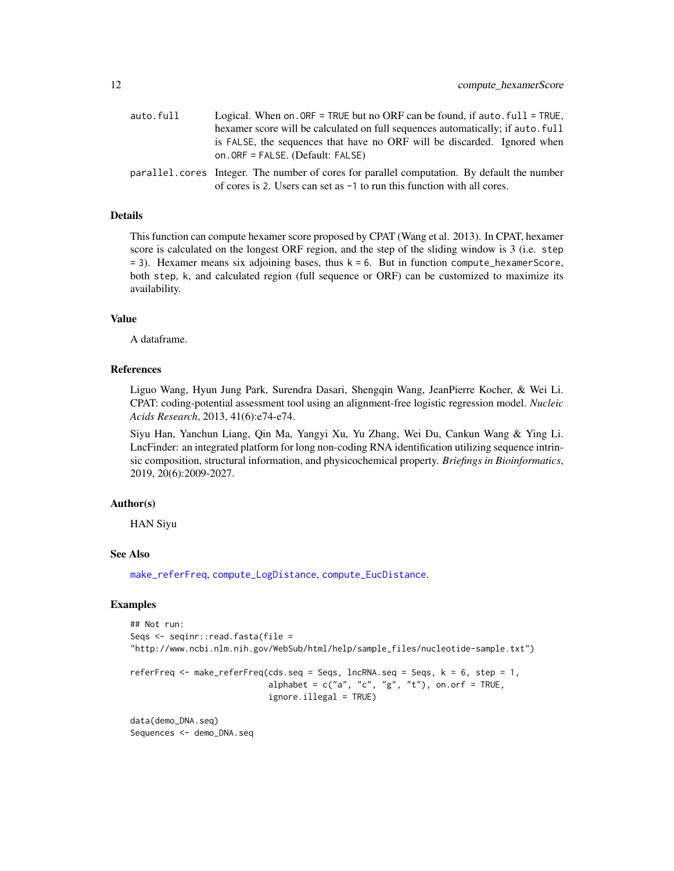<span id="page-11-0"></span>

| auto.full | Logical. When on $ORF = TRUE$ but no ORF can be found, if auto $full = TRUE$ ,              |
|-----------|---------------------------------------------------------------------------------------------|
|           | hexamer score will be calculated on full sequences automatically; if auto, full             |
|           | is FALSE, the sequences that have no ORF will be discarded. Ignored when                    |
|           | on. $ORF = FALSE$ . (Default: FALSE)                                                        |
|           | parallel.cores Integer. The number of cores for parallel computation. By default the number |

of cores is 2. Users can set as -1 to run this function with all cores.

#### Details

This function can compute hexamer score proposed by CPAT (Wang et al. 2013). In CPAT, hexamer score is calculated on the longest ORF region, and the step of the sliding window is 3 (i.e. step  $= 3$ ). Hexamer means six adjoining bases, thus  $k = 6$ . But in function compute\_hexamerScore, both step, k, and calculated region (full sequence or ORF) can be customized to maximize its availability.

#### Value

A dataframe.

## References

Liguo Wang, Hyun Jung Park, Surendra Dasari, Shengqin Wang, JeanPierre Kocher, & Wei Li. CPAT: coding-potential assessment tool using an alignment-free logistic regression model. *Nucleic Acids Research*, 2013, 41(6):e74-e74.

Siyu Han, Yanchun Liang, Qin Ma, Yangyi Xu, Yu Zhang, Wei Du, Cankun Wang & Ying Li. LncFinder: an integrated platform for long non-coding RNA identification utilizing sequence intrinsic composition, structural information, and physicochemical property. *Briefings in Bioinformatics*, 2019, 20(6):2009-2027.

## Author(s)

HAN Siyu

#### See Also

[make\\_referFreq](#page-27-1), [compute\\_LogDistance](#page-13-1), [compute\\_EucDistance](#page-5-1).

## Examples

```
## Not run:
Seqs <- seqinr::read.fasta(file =
"http://www.ncbi.nlm.nih.gov/WebSub/html/help/sample_files/nucleotide-sample.txt")
referFreq <- make_referFreq(cds.seq = Seqs, lncRNA.seq = Seqs, k = 6, step = 1,
                            alphabet = c("a", "c", "g", "t"), on.on.orf = TRUE,
                            ignore.illegal = TRUE)
data(demo_DNA.seq)
```
Sequences <- demo\_DNA.seq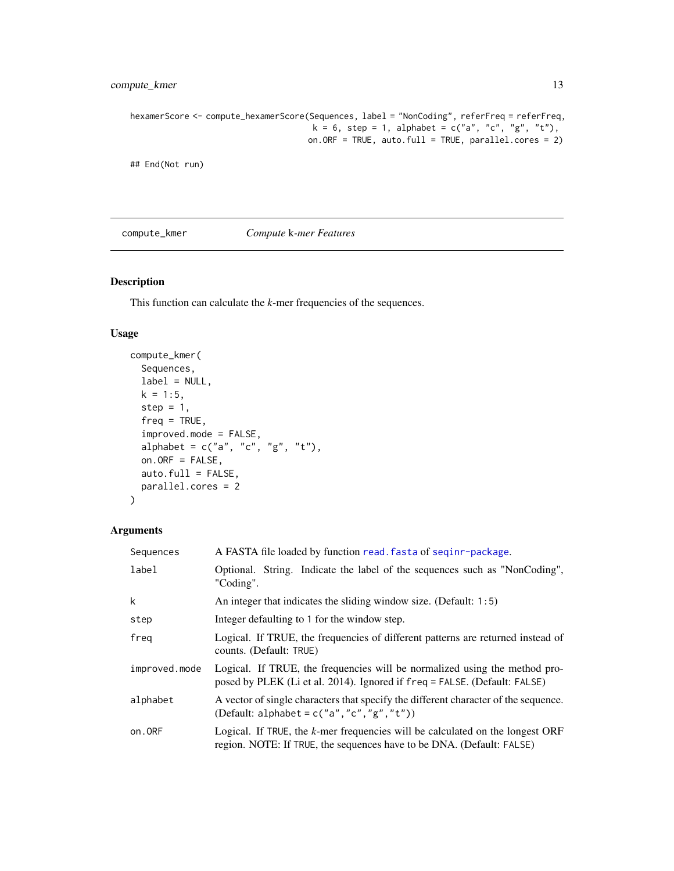## <span id="page-12-0"></span>compute\_kmer 13

```
hexamerScore <- compute_hexamerScore(Sequences, label = "NonCoding", referFreq = referFreq,
                                     k = 6, step = 1, alphabet = c("a", "c", "g", "t"),
                                    on.ORF = TRUE, auto.full = TRUE, parallel.cores = 2)
```
## End(Not run)

compute\_kmer *Compute* k*-mer Features*

#### Description

This function can calculate the *k*-mer frequencies of the sequences.

## Usage

```
compute_kmer(
  Sequences,
  label = NULL,
  k = 1:5,
  step = 1,
  freq = TRUE,improved.mode = FALSE,
  alpha alphabet = c("a", "c", "g", "t"),
  on.ORF = FALSE,
  auto.full = FALSE,parallel.cores = 2
)
```
#### Arguments

| Sequences     | A FASTA file loaded by function read. fasta of seqinr-package.                                                                                            |
|---------------|-----------------------------------------------------------------------------------------------------------------------------------------------------------|
| label         | Optional. String. Indicate the label of the sequences such as "NonCoding",<br>"Coding".                                                                   |
| k             | An integer that indicates the sliding window size. (Default: 1:5)                                                                                         |
| step          | Integer defaulting to 1 for the window step.                                                                                                              |
| freg          | Logical. If TRUE, the frequencies of different patterns are returned instead of<br>counts. (Default: TRUE)                                                |
| improved.mode | Logical. If TRUE, the frequencies will be normalized using the method pro-<br>posed by PLEK (Li et al. 2014). Ignored if freq = FALSE. (Default: FALSE)   |
| alphabet      | A vector of single characters that specify the different character of the sequence.<br>(Default: alphabet = $c("a", "c", "g", "t"))$ )                    |
| on.ORF        | Logical. If TRUE, the $k$ -mer frequencies will be calculated on the longest ORF<br>region. NOTE: If TRUE, the sequences have to be DNA. (Default: FALSE) |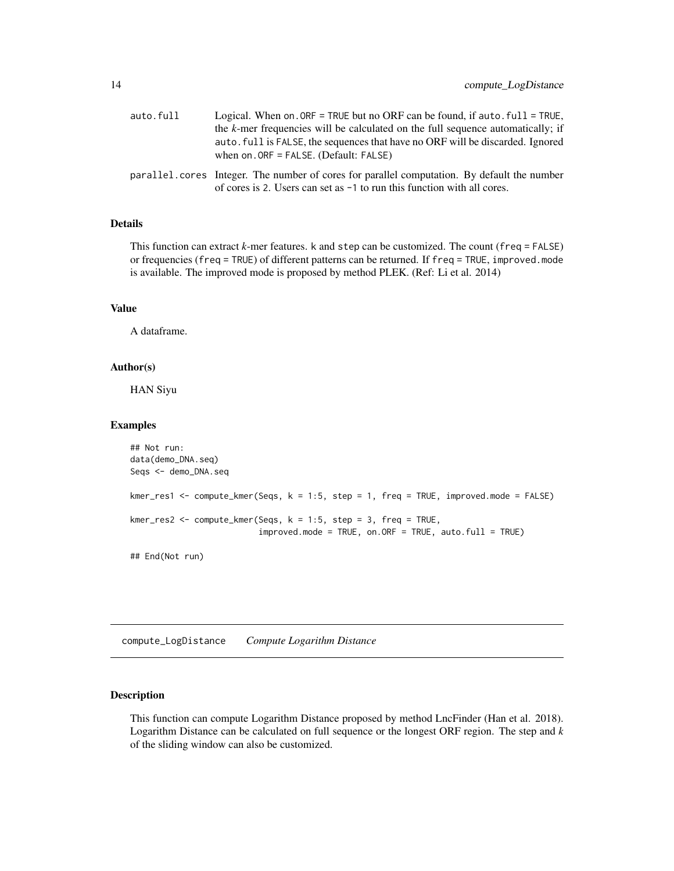<span id="page-13-0"></span>

| auto.full | Logical. When on . ORF = TRUE but no ORF can be found, if auto $. \text{full} = \text{TRUE}$ ,                                                                           |
|-----------|--------------------------------------------------------------------------------------------------------------------------------------------------------------------------|
|           | the $k$ -mer frequencies will be calculated on the full sequence automatically; if                                                                                       |
|           | auto, full is FALSE, the sequences that have no ORF will be discarded. Ignored<br>when on $ORF = FALSE$ . (Default: FALSE)                                               |
|           | parallel.cores Integer. The number of cores for parallel computation. By default the number<br>of cores is 2. Users can set as $-1$ to run this function with all cores. |

## Details

This function can extract *k*-mer features. k and step can be customized. The count (freq = FALSE) or frequencies (freq = TRUE) of different patterns can be returned. If freq = TRUE, improved.mode is available. The improved mode is proposed by method PLEK. (Ref: Li et al. 2014)

## Value

A dataframe.

#### Author(s)

HAN Siyu

## Examples

```
## Not run:
data(demo_DNA.seq)
Seqs <- demo_DNA.seq
kmer_res1 <- compute_kmer(Seqs, k = 1:5, step = 1, freq = TRUE, improved.mode = FALSE)
kmer_res2 <- compute_kmer(Seqs, k = 1:5, step = 3, freq = TRUE,
                          improved.mode = TRUE, on.ORF = TRUE, auto.full = TRUE)
## End(Not run)
```
<span id="page-13-1"></span>compute\_LogDistance *Compute Logarithm Distance*

## Description

This function can compute Logarithm Distance proposed by method LncFinder (Han et al. 2018). Logarithm Distance can be calculated on full sequence or the longest ORF region. The step and *k* of the sliding window can also be customized.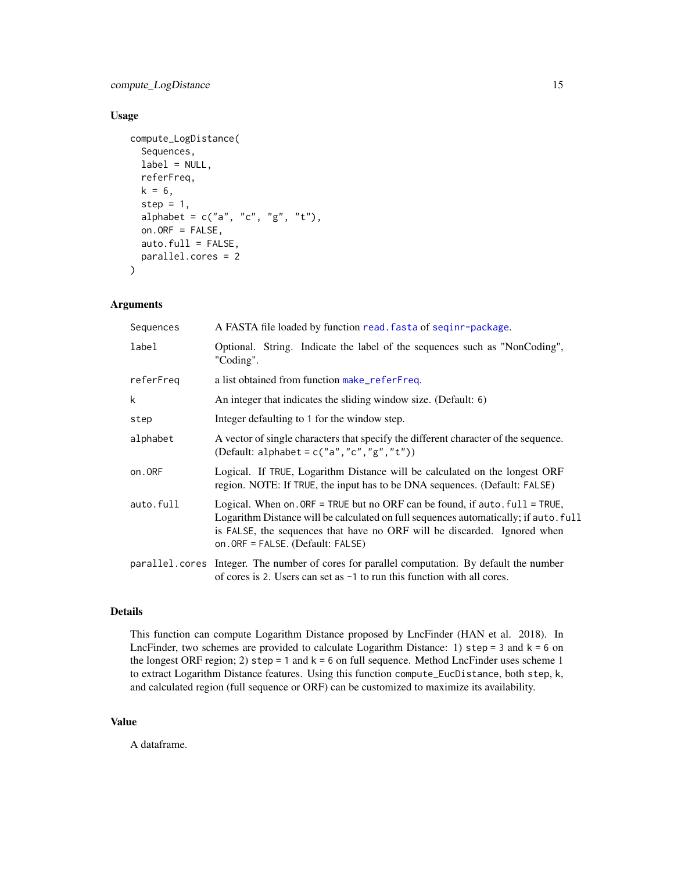<span id="page-14-0"></span>compute\_LogDistance 15

## Usage

```
compute_LogDistance(
  Sequences,
  label = NULL,referFreq,
 k = 6,
  step = 1,
  alphabet = c("a", "c", "g", "t"),
  on.ORF = FALSE,
  auto.full = FALSE,parallel.cores = 2
)
```
#### Arguments

| Sequences | A FASTA file loaded by function read. fasta of seginr-package.                                                                                                                                                                                                                          |
|-----------|-----------------------------------------------------------------------------------------------------------------------------------------------------------------------------------------------------------------------------------------------------------------------------------------|
| label     | Optional. String. Indicate the label of the sequences such as "NonCoding",<br>"Coding".                                                                                                                                                                                                 |
| referFreq | a list obtained from function make_referFreq.                                                                                                                                                                                                                                           |
| k         | An integer that indicates the sliding window size. (Default: 6)                                                                                                                                                                                                                         |
| step      | Integer defaulting to 1 for the window step.                                                                                                                                                                                                                                            |
| alphabet  | A vector of single characters that specify the different character of the sequence.<br>(Default: alphabet = $c("a", "c", "g", "t"))$ )                                                                                                                                                  |
| on.ORF    | Logical. If TRUE, Logarithm Distance will be calculated on the longest ORF<br>region. NOTE: If TRUE, the input has to be DNA sequences. (Default: FALSE)                                                                                                                                |
| auto.full | Logical. When on $ORF = TRUE$ but no ORF can be found, if auto $full = TRUE$ ,<br>Logarithm Distance will be calculated on full sequences automatically; if auto. full<br>is FALSE, the sequences that have no ORF will be discarded. Ignored when<br>on. ORF = FALSE. (Default: FALSE) |
|           | parallel.cores Integer. The number of cores for parallel computation. By default the number<br>of cores is 2. Users can set as $-1$ to run this function with all cores.                                                                                                                |

## Details

This function can compute Logarithm Distance proposed by LncFinder (HAN et al. 2018). In LncFinder, two schemes are provided to calculate Logarithm Distance: 1) step =  $3$  and  $k = 6$  on the longest ORF region; 2) step = 1 and  $k = 6$  on full sequence. Method LncFinder uses scheme 1 to extract Logarithm Distance features. Using this function compute\_EucDistance, both step, k, and calculated region (full sequence or ORF) can be customized to maximize its availability.

## Value

A dataframe.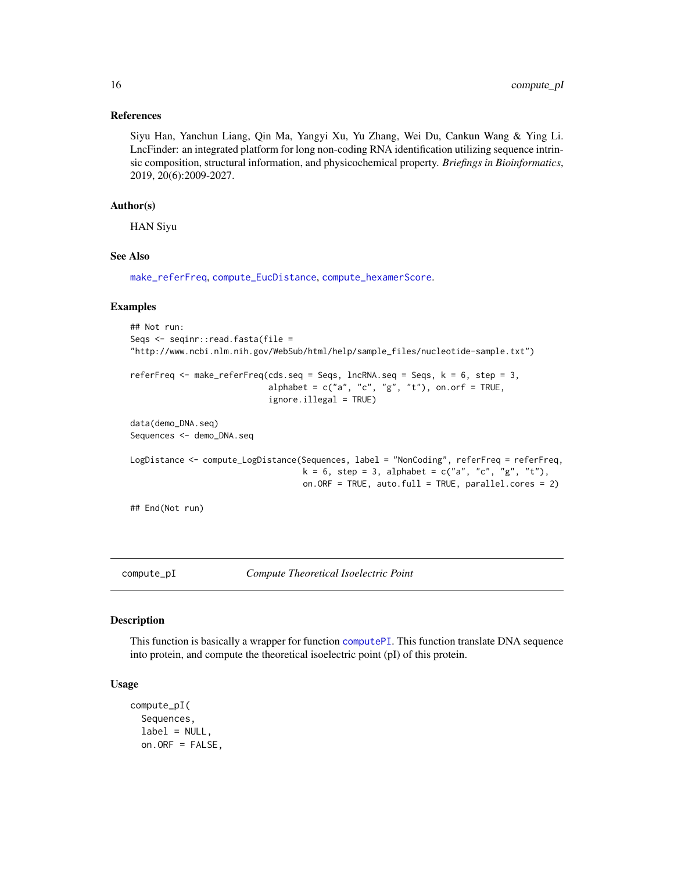#### <span id="page-15-0"></span>References

Siyu Han, Yanchun Liang, Qin Ma, Yangyi Xu, Yu Zhang, Wei Du, Cankun Wang & Ying Li. LncFinder: an integrated platform for long non-coding RNA identification utilizing sequence intrinsic composition, structural information, and physicochemical property. *Briefings in Bioinformatics*, 2019, 20(6):2009-2027.

#### Author(s)

HAN Siyu

#### See Also

[make\\_referFreq](#page-27-1), [compute\\_EucDistance](#page-5-1), [compute\\_hexamerScore](#page-10-1).

#### Examples

```
## Not run:
Seqs <- seqinr::read.fasta(file =
"http://www.ncbi.nlm.nih.gov/WebSub/html/help/sample_files/nucleotide-sample.txt")
referFreq \leq make_referFreq(cds.seq = Seqs, lncRNA.seq = Seqs, k = 6, step = 3,
                            alphabet = c("a", "c", "g", "t"), on.on. f = TRUE,
                            ignore.illegal = TRUE)
data(demo_DNA.seq)
Sequences <- demo_DNA.seq
LogDistance <- compute_LogDistance(Sequences, label = "NonCoding", referFreq = referFreq,
                                   k = 6, step = 3, alphabet = c("a", "c", "g", "t"),
                                   on.ORF = TRUE, auto.full = TRUE, parallel.cores = 2)
## End(Not run)
```
compute\_pI *Compute Theoretical Isoelectric Point*

#### Description

This function is basically a wrapper for function [computePI](#page-0-0). This function translate DNA sequence into protein, and compute the theoretical isoelectric point (pI) of this protein.

#### Usage

```
compute_pI(
  Sequences,
  label = NULL,on.ORF = FALSE,
```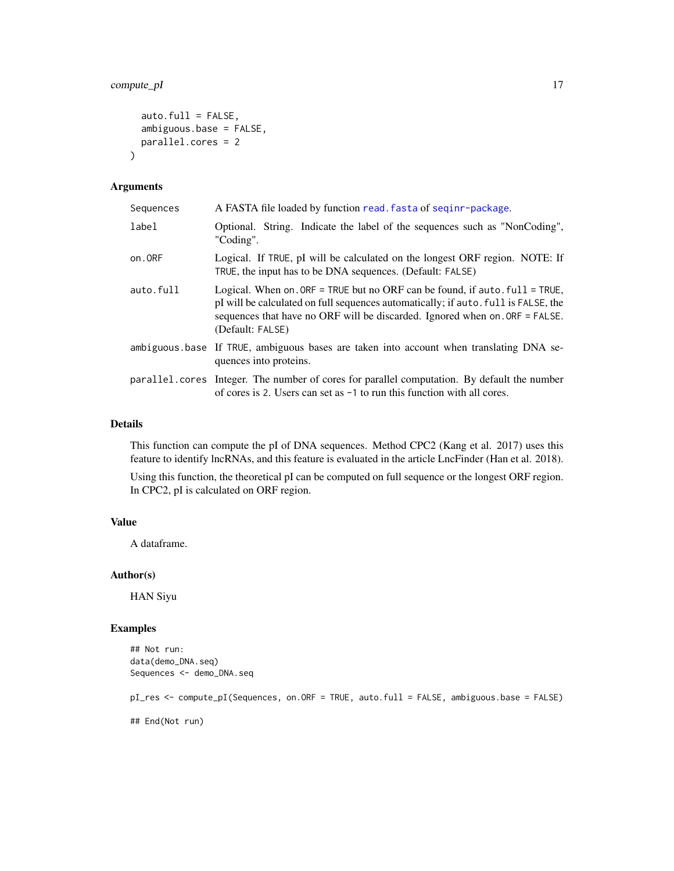## <span id="page-16-0"></span>compute\_pI 17

```
auto.full = FALSE,
  ambiguous.base = FALSE,
 parallel.cores = 2
\mathcal{L}
```
## Arguments

| Sequences | A FASTA file loaded by function read. fasta of seginr-package.                                                                                                                                                                                                           |
|-----------|--------------------------------------------------------------------------------------------------------------------------------------------------------------------------------------------------------------------------------------------------------------------------|
| label     | Optional. String. Indicate the label of the sequences such as "NonCoding",<br>"Coding".                                                                                                                                                                                  |
| on.ORF    | Logical. If TRUE, pI will be calculated on the longest ORF region. NOTE: If<br>TRUE, the input has to be DNA sequences. (Default: FALSE)                                                                                                                                 |
| auto.full | Logical. When on $ORF = TRUE$ but no ORF can be found, if auto $full = TRUE$ ,<br>pI will be calculated on full sequences automatically; if auto, full is FALSE, the<br>sequences that have no ORF will be discarded. Ignored when on . ORF = FALSE.<br>(Default: FALSE) |
|           | ambiguous base If TRUE, ambiguous bases are taken into account when translating DNA se-<br>quences into proteins.                                                                                                                                                        |
|           | parallel.cores Integer. The number of cores for parallel computation. By default the number<br>of cores is 2. Users can set as $-1$ to run this function with all cores.                                                                                                 |

## Details

This function can compute the pI of DNA sequences. Method CPC2 (Kang et al. 2017) uses this feature to identify lncRNAs, and this feature is evaluated in the article LncFinder (Han et al. 2018).

Using this function, the theoretical pI can be computed on full sequence or the longest ORF region. In CPC2, pI is calculated on ORF region.

## Value

A dataframe.

## Author(s)

HAN Siyu

## Examples

```
## Not run:
data(demo_DNA.seq)
Sequences <- demo_DNA.seq
pI_res <- compute_pI(Sequences, on.ORF = TRUE, auto.full = FALSE, ambiguous.base = FALSE)
## End(Not run)
```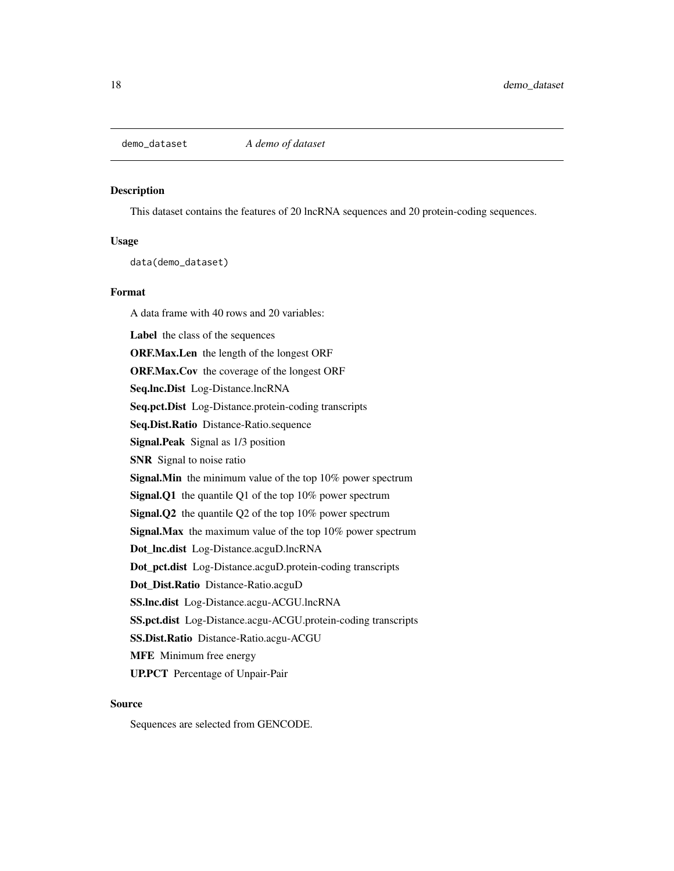<span id="page-17-0"></span>

#### Description

This dataset contains the features of 20 lncRNA sequences and 20 protein-coding sequences.

## Usage

data(demo\_dataset)

#### Format

A data frame with 40 rows and 20 variables: Label the class of the sequences ORF.Max.Len the length of the longest ORF ORF.Max.Cov the coverage of the longest ORF Seq.lnc.Dist Log-Distance.lncRNA Seq.pct.Dist Log-Distance.protein-coding transcripts Seq.Dist.Ratio Distance-Ratio.sequence Signal.Peak Signal as 1/3 position SNR Signal to noise ratio Signal.Min the minimum value of the top 10% power spectrum Signal.Q1 the quantile Q1 of the top 10% power spectrum Signal.Q2 the quantile Q2 of the top 10% power spectrum Signal.Max the maximum value of the top 10% power spectrum Dot\_lnc.dist Log-Distance.acguD.lncRNA Dot\_pct.dist Log-Distance.acguD.protein-coding transcripts Dot\_Dist.Ratio Distance-Ratio.acguD SS.lnc.dist Log-Distance.acgu-ACGU.lncRNA SS.pct.dist Log-Distance.acgu-ACGU.protein-coding transcripts SS.Dist.Ratio Distance-Ratio.acgu-ACGU MFE Minimum free energy UP.PCT Percentage of Unpair-Pair

## Source

Sequences are selected from GENCODE.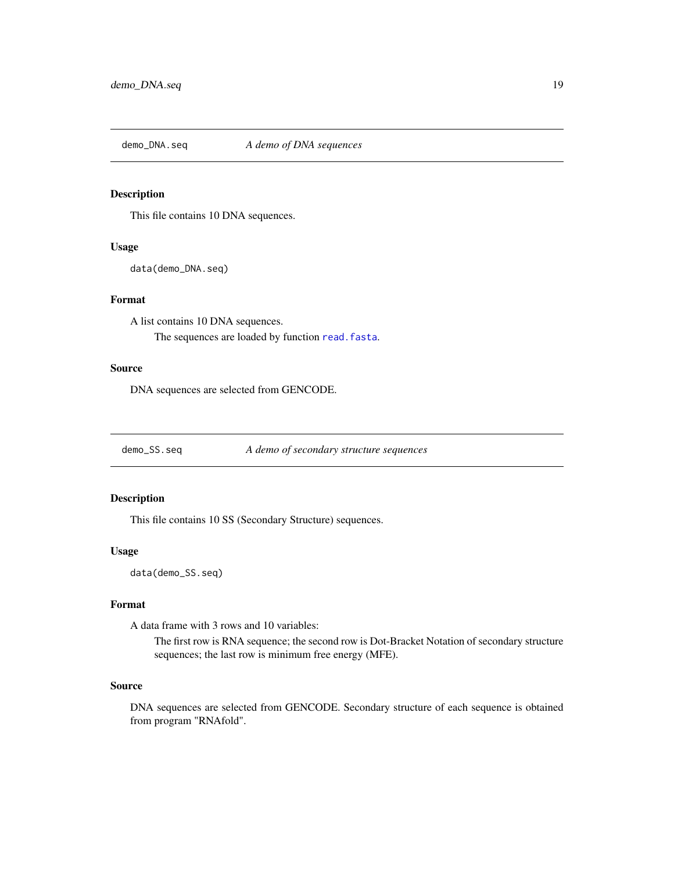<span id="page-18-0"></span>

## Description

This file contains 10 DNA sequences.

## Usage

data(demo\_DNA.seq)

## Format

A list contains 10 DNA sequences. The sequences are loaded by function [read.fasta](#page-0-0).

## Source

DNA sequences are selected from GENCODE.

demo\_SS.seq *A demo of secondary structure sequences*

## Description

This file contains 10 SS (Secondary Structure) sequences.

#### Usage

data(demo\_SS.seq)

## Format

A data frame with 3 rows and 10 variables:

The first row is RNA sequence; the second row is Dot-Bracket Notation of secondary structure sequences; the last row is minimum free energy (MFE).

## Source

DNA sequences are selected from GENCODE. Secondary structure of each sequence is obtained from program "RNAfold".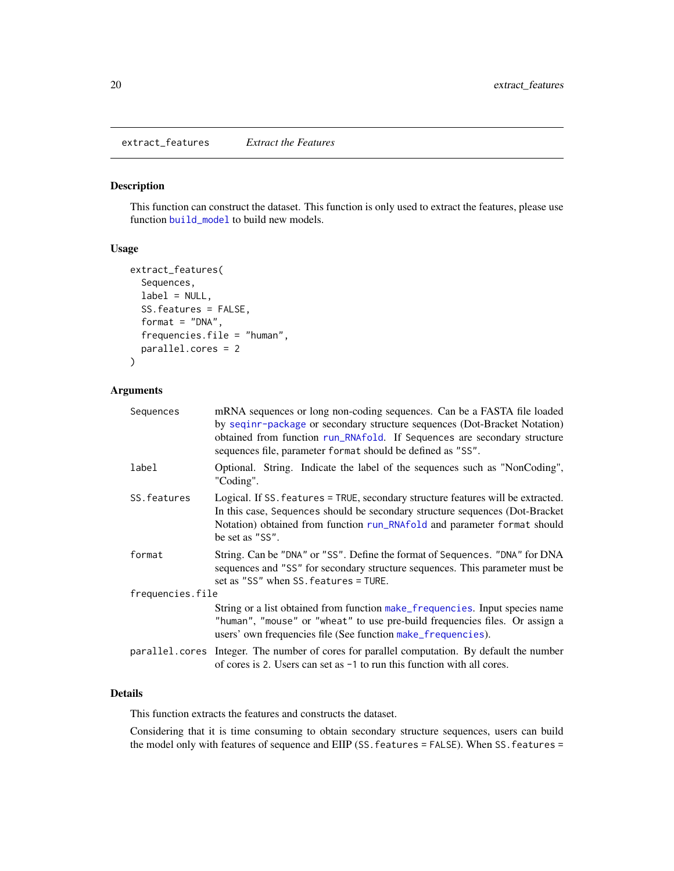<span id="page-19-1"></span><span id="page-19-0"></span>extract\_features *Extract the Features*

#### Description

This function can construct the dataset. This function is only used to extract the features, please use function [build\\_model](#page-1-1) to build new models.

## Usage

```
extract_features(
  Sequences,
  label = NULL,SS.features = FALSE,
  format = "DNA",frequencies.file = "human",
  parallel.cores = 2
)
```
#### Arguments

| Sequences        | mRNA sequences or long non-coding sequences. Can be a FASTA file loaded<br>by seqinr-package or secondary structure sequences (Dot-Bracket Notation)<br>obtained from function run_RNAfold. If Sequences are secondary structure<br>sequences file, parameter format should be defined as "SS". |
|------------------|-------------------------------------------------------------------------------------------------------------------------------------------------------------------------------------------------------------------------------------------------------------------------------------------------|
| label            | Optional. String. Indicate the label of the sequences such as "NonCoding",<br>"Coding".                                                                                                                                                                                                         |
| SS. features     | Logical. If SS. features = TRUE, secondary structure features will be extracted.<br>In this case, Sequences should be secondary structure sequences (Dot-Bracket<br>Notation) obtained from function run_RNAfold and parameter format should<br>be set as "SS".                                 |
| format           | String. Can be "DNA" or "SS". Define the format of Sequences. "DNA" for DNA<br>sequences and "SS" for secondary structure sequences. This parameter must be<br>set as "SS" when SS. features = TURE.                                                                                            |
| frequencies.file |                                                                                                                                                                                                                                                                                                 |
|                  | String or a list obtained from function make_frequencies. Input species name<br>"human", "mouse" or "wheat" to use pre-build frequencies files. Or assign a<br>users' own frequencies file (See function make_frequencies).                                                                     |
|                  | parallel.cores Integer. The number of cores for parallel computation. By default the number<br>of cores is 2. Users can set as $-1$ to run this function with all cores.                                                                                                                        |
|                  |                                                                                                                                                                                                                                                                                                 |

## Details

This function extracts the features and constructs the dataset.

Considering that it is time consuming to obtain secondary structure sequences, users can build the model only with features of sequence and EIIP (SS.features = FALSE). When SS.features =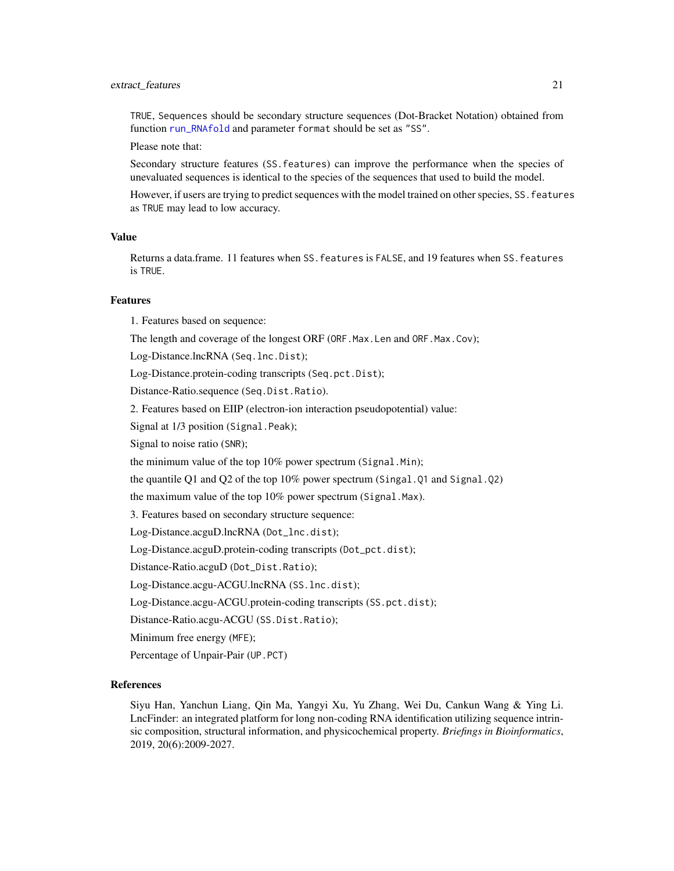#### extract\_features 21

TRUE, Sequences should be secondary structure sequences (Dot-Bracket Notation) obtained from function [run\\_RNAfold](#page-31-1) and parameter format should be set as "SS".

Please note that:

Secondary structure features (SS.features) can improve the performance when the species of unevaluated sequences is identical to the species of the sequences that used to build the model.

However, if users are trying to predict sequences with the model trained on other species, SS.features as TRUE may lead to low accuracy.

## Value

Returns a data.frame. 11 features when SS.features is FALSE, and 19 features when SS.features is TRUE.

#### Features

1. Features based on sequence: The length and coverage of the longest ORF (ORF.Max.Len and ORF.Max.Cov); Log-Distance.lncRNA (Seq.lnc.Dist); Log-Distance.protein-coding transcripts (Seq.pct.Dist); Distance-Ratio.sequence (Seq.Dist.Ratio). 2. Features based on EIIP (electron-ion interaction pseudopotential) value: Signal at 1/3 position (Signal.Peak); Signal to noise ratio (SNR); the minimum value of the top 10% power spectrum (Signal.Min); the quantile Q1 and Q2 of the top 10% power spectrum (Singal.Q1 and Signal.Q2) the maximum value of the top 10% power spectrum (Signal.Max). 3. Features based on secondary structure sequence: Log-Distance.acguD.lncRNA (Dot\_lnc.dist); Log-Distance.acguD.protein-coding transcripts (Dot\_pct.dist); Distance-Ratio.acguD (Dot\_Dist.Ratio); Log-Distance.acgu-ACGU.lncRNA (SS.lnc.dist); Log-Distance.acgu-ACGU.protein-coding transcripts (SS.pct.dist); Distance-Ratio.acgu-ACGU (SS.Dist.Ratio); Minimum free energy (MFE);

Percentage of Unpair-Pair (UP.PCT)

#### References

Siyu Han, Yanchun Liang, Qin Ma, Yangyi Xu, Yu Zhang, Wei Du, Cankun Wang & Ying Li. LncFinder: an integrated platform for long non-coding RNA identification utilizing sequence intrinsic composition, structural information, and physicochemical property. *Briefings in Bioinformatics*, 2019, 20(6):2009-2027.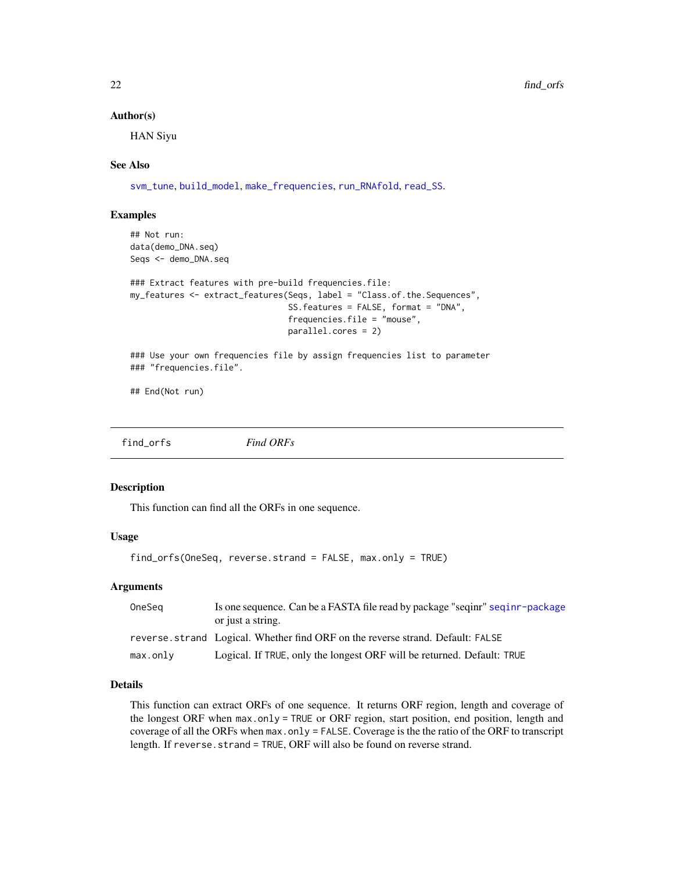#### <span id="page-21-0"></span>Author(s)

HAN Siyu

#### See Also

[svm\\_tune](#page-34-1), [build\\_model](#page-1-1), [make\\_frequencies](#page-24-1), [run\\_RNAfold](#page-31-1), [read\\_SS](#page-29-1).

#### Examples

```
## Not run:
data(demo_DNA.seq)
Seqs <- demo_DNA.seq
```

```
### Extract features with pre-build frequencies.file:
my_features <- extract_features(Seqs, label = "Class.of.the.Sequences",
                                SS.features = FALSE, format = "DNA",
                                frequencies.file = "mouse",
                                parallel.cores = 2)
```
### Use your own frequencies file by assign frequencies list to parameter ### "frequencies.file".

## End(Not run)

find\_orfs *Find ORFs*

#### Description

This function can find all the ORFs in one sequence.

#### Usage

```
find_orfs(OneSeq, reverse.strand = FALSE, max.only = TRUE)
```
## Arguments

| OneSeg  | Is one sequence. Can be a FASTA file read by package "seqinr" seqinr-package    |
|---------|---------------------------------------------------------------------------------|
|         | or just a string.                                                               |
|         | reverse, strand Logical, Whether find ORF on the reverse strand. Default: FALSE |
| max.out | Logical. If TRUE, only the longest ORF will be returned. Default: TRUE          |

## Details

This function can extract ORFs of one sequence. It returns ORF region, length and coverage of the longest ORF when max.only = TRUE or ORF region, start position, end position, length and coverage of all the ORFs when max.only = FALSE. Coverage is the the ratio of the ORF to transcript length. If reverse.strand = TRUE, ORF will also be found on reverse strand.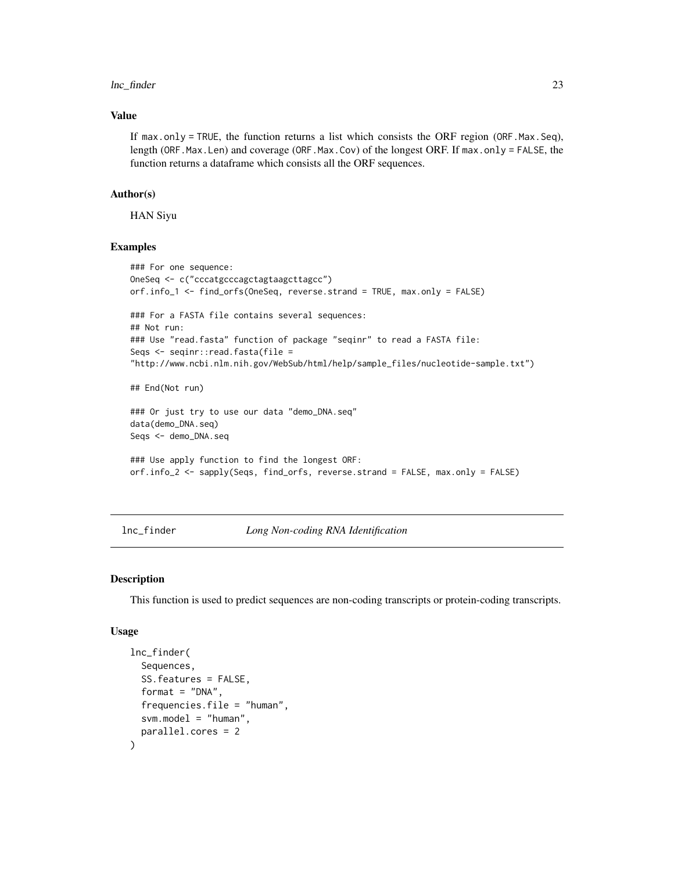#### <span id="page-22-0"></span>lnc\_finder 23

#### Value

If max.only = TRUE, the function returns a list which consists the ORF region (ORF.Max.Seq), length (ORF.Max.Len) and coverage (ORF.Max.Cov) of the longest ORF. If max.only = FALSE, the function returns a dataframe which consists all the ORF sequences.

#### Author(s)

HAN Siyu

#### Examples

```
### For one sequence:
OneSeq <- c("cccatgcccagctagtaagcttagcc")
orf.info_1 <- find_orfs(OneSeq, reverse.strand = TRUE, max.only = FALSE)
### For a FASTA file contains several sequences:
## Not run:
### Use "read.fasta" function of package "seqinr" to read a FASTA file:
Seqs <- seqinr::read.fasta(file =
"http://www.ncbi.nlm.nih.gov/WebSub/html/help/sample_files/nucleotide-sample.txt")
## End(Not run)
### Or just try to use our data "demo_DNA.seq"
data(demo_DNA.seq)
Seqs <- demo_DNA.seq
### Use apply function to find the longest ORF:
orf.info_2 <- sapply(Seqs, find_orfs, reverse.strand = FALSE, max.only = FALSE)
```
<span id="page-22-1"></span>lnc\_finder *Long Non-coding RNA Identification*

#### Description

This function is used to predict sequences are non-coding transcripts or protein-coding transcripts.

#### Usage

```
lnc_finder(
  Sequences,
  SS.features = FALSE,
  format = "DNA",
  frequencies.file = "human",svm.model = "human",
 parallel.cores = 2
)
```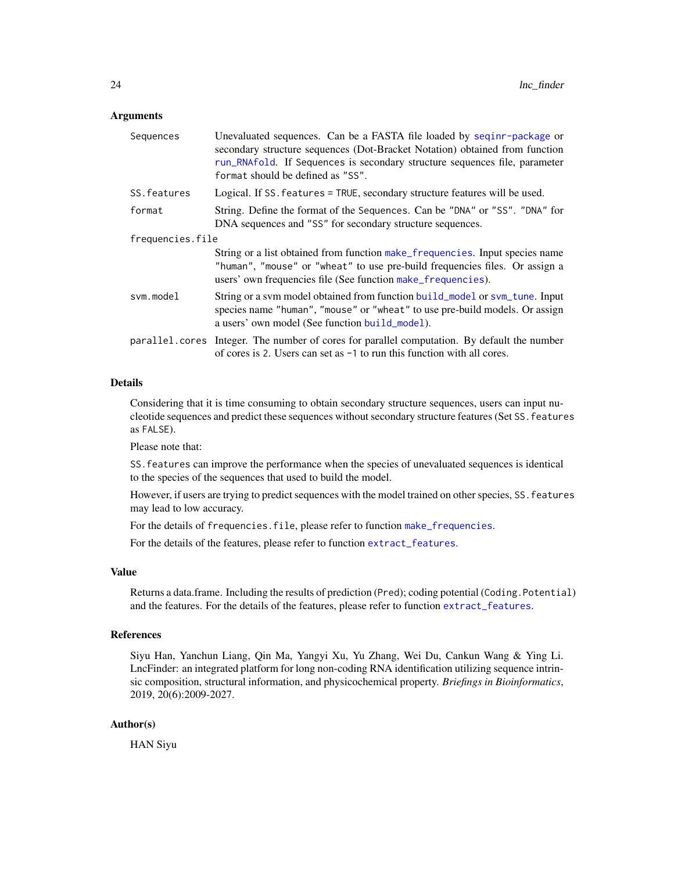#### <span id="page-23-0"></span>**Arguments**

| secondary structure sequences (Dot-Bracket Notation) obtained from function<br>run_RNAfold. If Sequences is secondary structure sequences file, parameter   |  |
|-------------------------------------------------------------------------------------------------------------------------------------------------------------|--|
| Logical. If SS. features = TRUE, secondary structure features will be used.                                                                                 |  |
| String. Define the format of the Sequences. Can be "DNA" or "SS". "DNA" for                                                                                 |  |
| frequencies.file                                                                                                                                            |  |
| String or a list obtained from function make_frequencies. Input species name<br>"human", "mouse" or "wheat" to use pre-build frequencies files. Or assign a |  |
| String or a svm model obtained from function build_model or svm_tune. Input<br>species name "human", "mouse" or "wheat" to use pre-build models. Or assign  |  |
| parallel.cores Integer. The number of cores for parallel computation. By default the number                                                                 |  |
|                                                                                                                                                             |  |

## Details

Considering that it is time consuming to obtain secondary structure sequences, users can input nucleotide sequences and predict these sequences without secondary structure features (Set SS.features as FALSE).

Please note that:

SS.features can improve the performance when the species of unevaluated sequences is identical to the species of the sequences that used to build the model.

However, if users are trying to predict sequences with the model trained on other species, SS.features may lead to low accuracy.

For the details of frequencies.file, please refer to function [make\\_frequencies](#page-24-1).

For the details of the features, please refer to function [extract\\_features](#page-19-1).

#### Value

Returns a data.frame. Including the results of prediction (Pred); coding potential (Coding.Potential) and the features. For the details of the features, please refer to function [extract\\_features](#page-19-1).

## References

Siyu Han, Yanchun Liang, Qin Ma, Yangyi Xu, Yu Zhang, Wei Du, Cankun Wang & Ying Li. LncFinder: an integrated platform for long non-coding RNA identification utilizing sequence intrinsic composition, structural information, and physicochemical property. *Briefings in Bioinformatics*, 2019, 20(6):2009-2027.

## Author(s)

HAN Siyu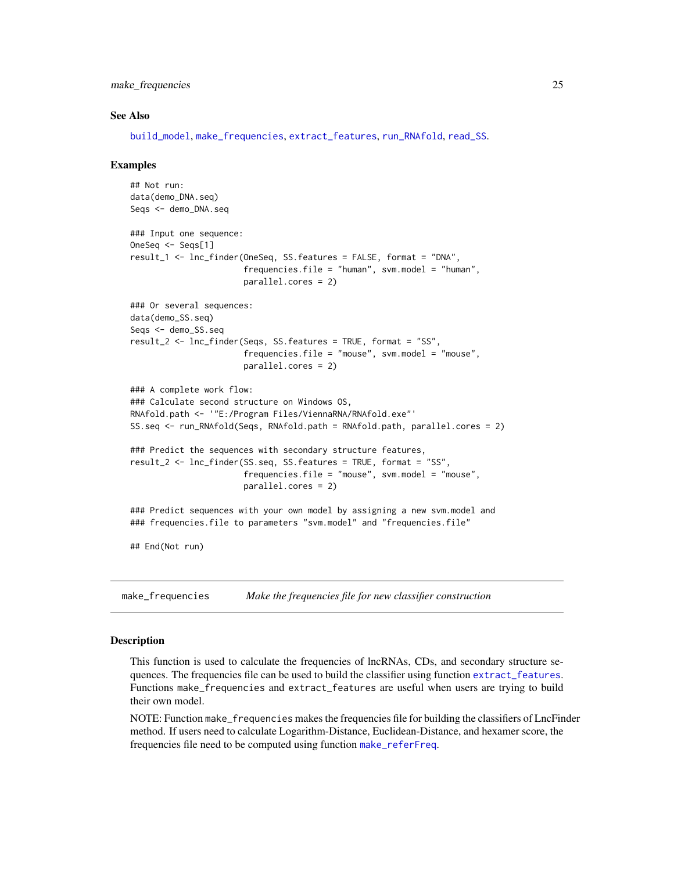<span id="page-24-0"></span>make\_frequencies 25

#### See Also

[build\\_model](#page-1-1), [make\\_frequencies](#page-24-1), [extract\\_features](#page-19-1), [run\\_RNAfold](#page-31-1), [read\\_SS](#page-29-1).

#### Examples

```
## Not run:
data(demo_DNA.seq)
Seqs <- demo_DNA.seq
### Input one sequence:
OneSeq <- Seqs[1]
result_1 <- lnc_finder(OneSeq, SS.features = FALSE, format = "DNA",
                       frequencies.file = "human", svm.mode1 = "human",
                       parallel.cores = 2)
### Or several sequences:
data(demo_SS.seq)
Seqs <- demo_SS.seq
result_2 <- lnc_finder(Seqs, SS.features = TRUE, format = "SS",
                       frequencies.file = "mouse", svm.model = "mouse",
                       parallel.cores = 2)
### A complete work flow:
### Calculate second structure on Windows OS,
RNAfold.path <- '"E:/Program Files/ViennaRNA/RNAfold.exe"'
SS.seq <- run_RNAfold(Seqs, RNAfold.path = RNAfold.path, parallel.cores = 2)
### Predict the sequences with secondary structure features,
result_2 <- lnc_finder(SS.seq, SS.features = TRUE, format = "SS",
                       frequencies.file = "mouse", svm.model = "mouse",
                       parallel.cores = 2)
### Predict sequences with your own model by assigning a new svm.model and
### frequencies.file to parameters "svm.model" and "frequencies.file"
## End(Not run)
```
<span id="page-24-1"></span>make\_frequencies *Make the frequencies file for new classifier construction*

#### Description

This function is used to calculate the frequencies of lncRNAs, CDs, and secondary structure sequences. The frequencies file can be used to build the classifier using function [extract\\_features](#page-19-1). Functions make\_frequencies and extract\_features are useful when users are trying to build their own model.

NOTE: Function make\_frequencies makes the frequencies file for building the classifiers of LncFinder method. If users need to calculate Logarithm-Distance, Euclidean-Distance, and hexamer score, the frequencies file need to be computed using function [make\\_referFreq](#page-27-1).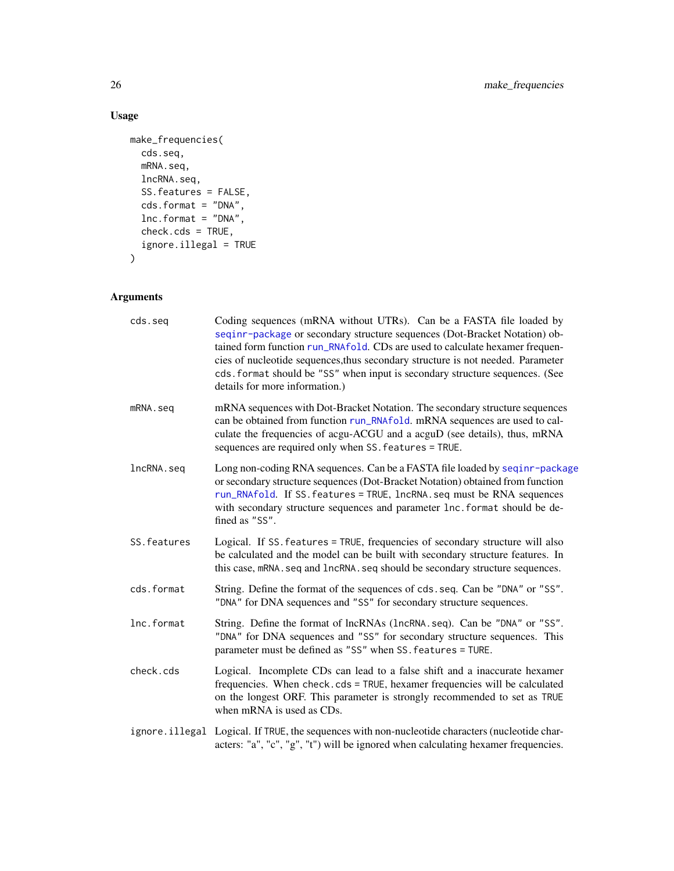## Usage

```
make_frequencies(
  cds.seq,
  mRNA.seq,
  lncRNA.seq,
  SS.features = FALSE,
  cds.format = "DNA",
  lnc.format = "DNA",
  check.cds = TRUE,
  ignore.illegal = TRUE
\mathcal{L}
```
## Arguments

| cds.seq      | Coding sequences (mRNA without UTRs). Can be a FASTA file loaded by<br>seqinr-package or secondary structure sequences (Dot-Bracket Notation) ob-<br>tained form function run_RNAfold. CDs are used to calculate hexamer frequen-<br>cies of nucleotide sequences, thus secondary structure is not needed. Parameter<br>cds. format should be "SS" when input is secondary structure sequences. (See<br>details for more information.) |
|--------------|----------------------------------------------------------------------------------------------------------------------------------------------------------------------------------------------------------------------------------------------------------------------------------------------------------------------------------------------------------------------------------------------------------------------------------------|
| mRNA.seq     | mRNA sequences with Dot-Bracket Notation. The secondary structure sequences<br>can be obtained from function run_RNAfold. mRNA sequences are used to cal-<br>culate the frequencies of acgu-ACGU and a acguD (see details), thus, mRNA<br>sequences are required only when SS. features = TRUE.                                                                                                                                        |
| lncRNA.seq   | Long non-coding RNA sequences. Can be a FASTA file loaded by seqinr-package<br>or secondary structure sequences (Dot-Bracket Notation) obtained from function<br>run_RNAfold. If SS. features = TRUE, lncRNA. seq must be RNA sequences<br>with secondary structure sequences and parameter lnc. format should be de-<br>fined as "SS".                                                                                                |
| SS. features | Logical. If SS. features = TRUE, frequencies of secondary structure will also<br>be calculated and the model can be built with secondary structure features. In<br>this case, mRNA. seq and 1ncRNA. seq should be secondary structure sequences.                                                                                                                                                                                       |
| cds.format   | String. Define the format of the sequences of cds.seq. Can be "DNA" or "SS".<br>"DNA" for DNA sequences and "SS" for secondary structure sequences.                                                                                                                                                                                                                                                                                    |
| lnc.format   | String. Define the format of lncRNAs (lncRNA.seq). Can be "DNA" or "SS".<br>"DNA" for DNA sequences and "SS" for secondary structure sequences. This<br>parameter must be defined as "SS" when SS. features = TURE.                                                                                                                                                                                                                    |
| check.cds    | Logical. Incomplete CDs can lead to a false shift and a inaccurate hexamer<br>frequencies. When check.cds = TRUE, hexamer frequencies will be calculated<br>on the longest ORF. This parameter is strongly recommended to set as TRUE<br>when mRNA is used as CDs.                                                                                                                                                                     |
|              | ignore.illegal Logical. If TRUE, the sequences with non-nucleotide characters (nucleotide char-<br>acters: "a", "c", "g", "t") will be ignored when calculating hexamer frequencies.                                                                                                                                                                                                                                                   |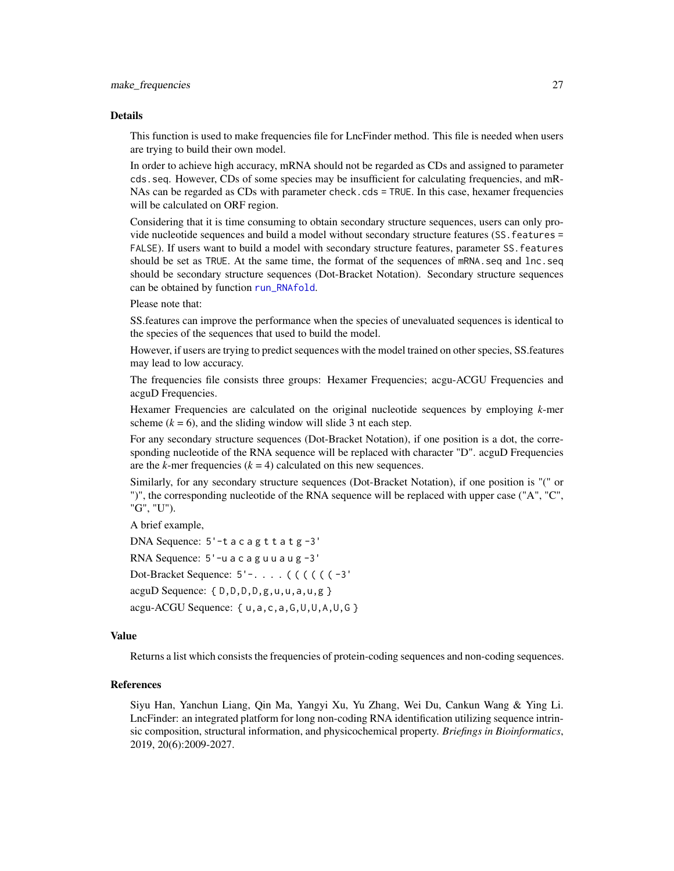#### Details

This function is used to make frequencies file for LncFinder method. This file is needed when users are trying to build their own model.

In order to achieve high accuracy, mRNA should not be regarded as CDs and assigned to parameter cds.seq. However, CDs of some species may be insufficient for calculating frequencies, and mR-NAs can be regarded as CDs with parameter check.cds = TRUE. In this case, hexamer frequencies will be calculated on ORF region.

Considering that it is time consuming to obtain secondary structure sequences, users can only provide nucleotide sequences and build a model without secondary structure features (SS. features = FALSE). If users want to build a model with secondary structure features, parameter SS.features should be set as TRUE. At the same time, the format of the sequences of mRNA, seq and lnc.seq should be secondary structure sequences (Dot-Bracket Notation). Secondary structure sequences can be obtained by function [run\\_RNAfold](#page-31-1).

Please note that:

SS.features can improve the performance when the species of unevaluated sequences is identical to the species of the sequences that used to build the model.

However, if users are trying to predict sequences with the model trained on other species, SS.features may lead to low accuracy.

The frequencies file consists three groups: Hexamer Frequencies; acgu-ACGU Frequencies and acguD Frequencies.

Hexamer Frequencies are calculated on the original nucleotide sequences by employing *k*-mer scheme  $(k = 6)$ , and the sliding window will slide 3 nt each step.

For any secondary structure sequences (Dot-Bracket Notation), if one position is a dot, the corresponding nucleotide of the RNA sequence will be replaced with character "D", acguD Frequencies are the *k*-mer frequencies  $(k = 4)$  calculated on this new sequences.

Similarly, for any secondary structure sequences (Dot-Bracket Notation), if one position is "(" or ")", the corresponding nucleotide of the RNA sequence will be replaced with upper case ("A", "C", "G", "U").

A brief example,

DNA Sequence:  $5'-t$  a c a g t t a t g  $-3'$ RNA Sequence: 5'-u a c a g u u a u g -3' Dot-Bracket Sequence: 5' – . . . . ( ( ( ( (  $(-3)$ '  $acguD Sequence: \{ D,D,D,g,u,u,a,u,g \}$  $a$ cgu-ACGU Sequence: { $u$ , a, c, a, G, U, U, A, U, G }

#### Value

Returns a list which consists the frequencies of protein-coding sequences and non-coding sequences.

#### References

Siyu Han, Yanchun Liang, Qin Ma, Yangyi Xu, Yu Zhang, Wei Du, Cankun Wang & Ying Li. LncFinder: an integrated platform for long non-coding RNA identification utilizing sequence intrinsic composition, structural information, and physicochemical property. *Briefings in Bioinformatics*, 2019, 20(6):2009-2027.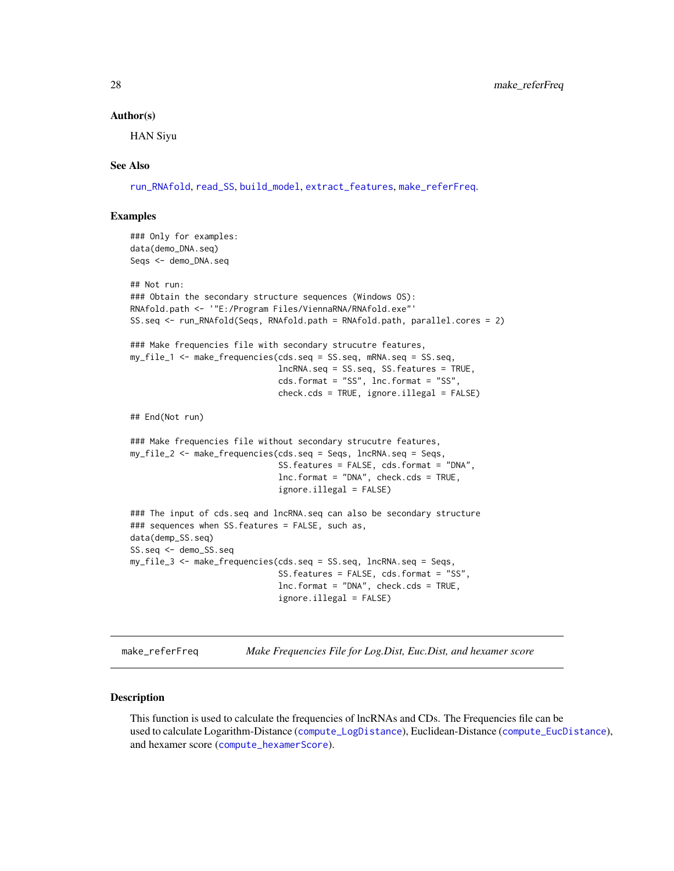#### Author(s)

HAN Siyu

## See Also

[run\\_RNAfold](#page-31-1), [read\\_SS](#page-29-1), [build\\_model](#page-1-1), [extract\\_features](#page-19-1), [make\\_referFreq](#page-27-1).

#### Examples

### Only for examples: data(demo\_DNA.seq) Seqs <- demo\_DNA.seq

```
## Not run:
### Obtain the secondary structure sequences (Windows OS):
RNAfold.path <- '"E:/Program Files/ViennaRNA/RNAfold.exe"'
SS.seq <- run_RNAfold(Seqs, RNAfold.path = RNAfold.path, parallel.cores = 2)
### Make frequencies file with secondary strucutre features,
my_file_1 <- make_frequencies(cds.seq = SS.seq, mRNA.seq = SS.seq,
                              lncRNA.seq = SS.seq, SS.features = TRUE,
                              cds.format = "SS", lnc.format = "SS",
                              check.cds = TRUE, ignore.illegal = FALSE)
## End(Not run)
### Make frequencies file without secondary strucutre features,
my_file_2 <- make_frequencies(cds.seq = Seqs, lncRNA.seq = Seqs,
                              SS.features = FALSE, cds.format = "DNA",
                              lnc.format = "DNA", check.cds = TRUE,
                              ignore.illegal = FALSE)
### The input of cds.seq and lncRNA.seq can also be secondary structure
### sequences when SS.features = FALSE, such as,
data(demp_SS.seq)
SS.seq <- demo_SS.seq
my_file_3 <- make_frequencies(cds.seq = SS.seq, lncRNA.seq = Seqs,
                              SS.features = FALSE, cds.format = "SS",
                              lnc.format = "DNA", check.cds = TRUE,
                              ignore.illegal = FALSE)
```
<span id="page-27-1"></span>make\_referFreq *Make Frequencies File for Log.Dist, Euc.Dist, and hexamer score*

#### Description

This function is used to calculate the frequencies of lncRNAs and CDs. The Frequencies file can be used to calculate Logarithm-Distance ([compute\\_LogDistance](#page-13-1)), Euclidean-Distance ([compute\\_EucDistance](#page-5-1)), and hexamer score ([compute\\_hexamerScore](#page-10-1)).

<span id="page-27-0"></span>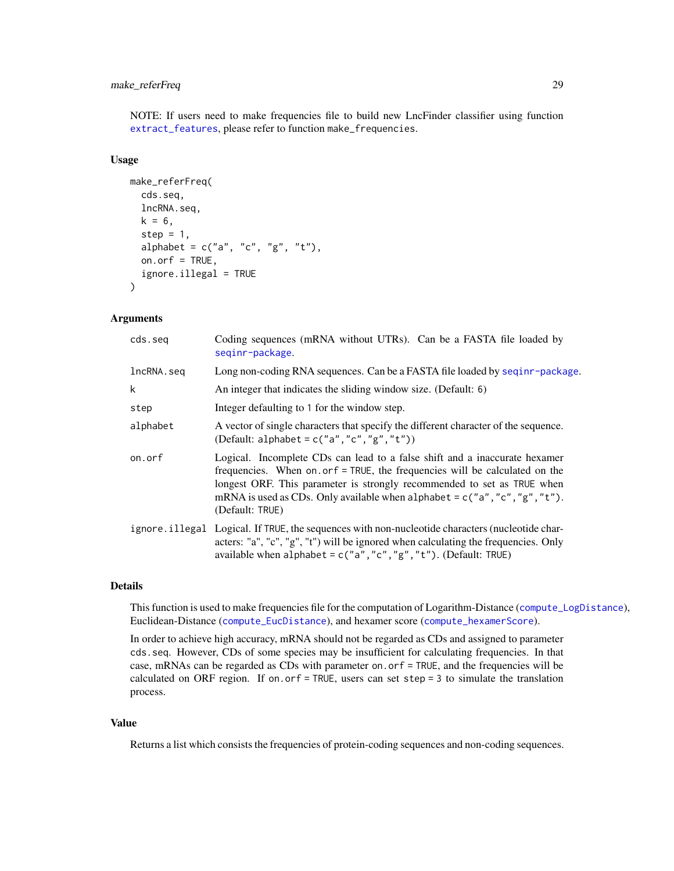## <span id="page-28-0"></span>make\_referFreq 29

NOTE: If users need to make frequencies file to build new LncFinder classifier using function [extract\\_features](#page-19-1), please refer to function make\_frequencies.

#### Usage

```
make_referFreq(
  cds.seq,
  lncRNA.seq,
  k = 6,
  step = 1,
  alphabet = c("a", "c", "g", "t"),
  on.orf = TRUE,
  ignore.illegal = TRUE
)
```
#### Arguments

| cds.seg    | Coding sequences (mRNA without UTRs). Can be a FASTA file loaded by<br>seginr-package.                                                                                                                                                                                                                                                  |
|------------|-----------------------------------------------------------------------------------------------------------------------------------------------------------------------------------------------------------------------------------------------------------------------------------------------------------------------------------------|
| lncRNA.seq | Long non-coding RNA sequences. Can be a FASTA file loaded by seqinr-package.                                                                                                                                                                                                                                                            |
| k          | An integer that indicates the sliding window size. (Default: 6)                                                                                                                                                                                                                                                                         |
| step       | Integer defaulting to 1 for the window step.                                                                                                                                                                                                                                                                                            |
| alphabet   | A vector of single characters that specify the different character of the sequence.<br>(Default: alphabet = $c("a", "c", "g", "t"))$ )                                                                                                                                                                                                  |
| on.orf     | Logical. Incomplete CDs can lead to a false shift and a inaccurate hexamer<br>frequencies. When on or f = TRUE, the frequencies will be calculated on the<br>longest ORF. This parameter is strongly recommended to set as TRUE when<br>mRNA is used as CDs. Only available when alphabet = $c("a", "c", "g", "t").$<br>(Default: TRUE) |
|            | ignore illegal Logical. If TRUE, the sequences with non-nucleotide characters (nucleotide char-<br>acters: "a", "c", "g", "t") will be ignored when calculating the frequencies. Only<br>available when $alpha$ lphabet = $c("a", "c", "g", "t").$ (Default: TRUE)                                                                      |

## Details

This function is used to make frequencies file for the computation of Logarithm-Distance ([compute\\_LogDistance](#page-13-1)), Euclidean-Distance ([compute\\_EucDistance](#page-5-1)), and hexamer score ([compute\\_hexamerScore](#page-10-1)).

In order to achieve high accuracy, mRNA should not be regarded as CDs and assigned to parameter cds.seq. However, CDs of some species may be insufficient for calculating frequencies. In that case, mRNAs can be regarded as CDs with parameter on.orf = TRUE, and the frequencies will be calculated on ORF region. If on.orf = TRUE, users can set step = 3 to simulate the translation process.

#### Value

Returns a list which consists the frequencies of protein-coding sequences and non-coding sequences.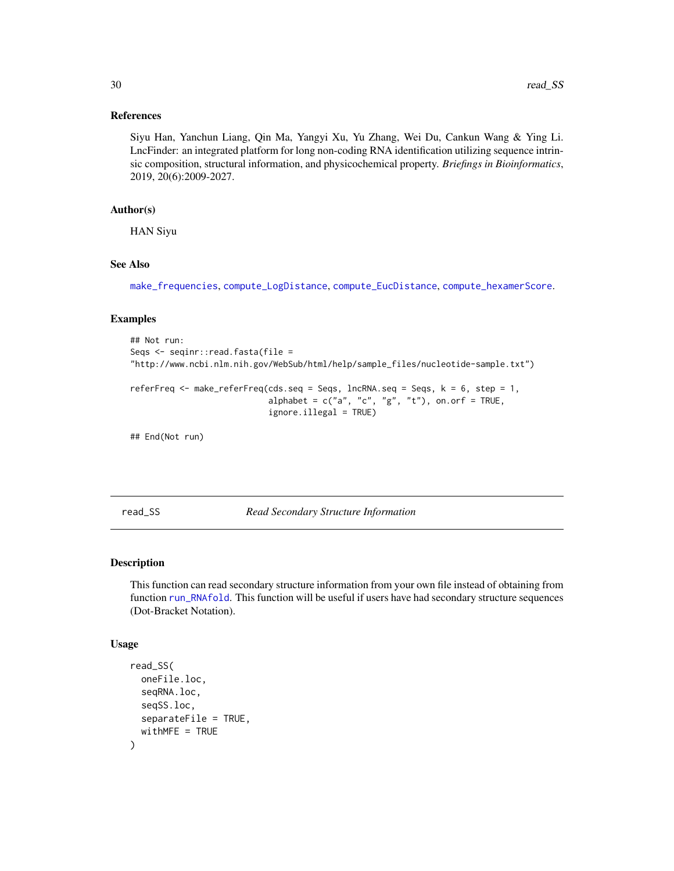#### <span id="page-29-0"></span>References

Siyu Han, Yanchun Liang, Qin Ma, Yangyi Xu, Yu Zhang, Wei Du, Cankun Wang & Ying Li. LncFinder: an integrated platform for long non-coding RNA identification utilizing sequence intrinsic composition, structural information, and physicochemical property. *Briefings in Bioinformatics*, 2019, 20(6):2009-2027.

## Author(s)

HAN Siyu

## See Also

[make\\_frequencies](#page-24-1), [compute\\_LogDistance](#page-13-1), [compute\\_EucDistance](#page-5-1), [compute\\_hexamerScore](#page-10-1).

#### Examples

```
## Not run:
Seqs <- seqinr::read.fasta(file =
"http://www.ncbi.nlm.nih.gov/WebSub/html/help/sample_files/nucleotide-sample.txt")
referFreq \leq make_referFreq(cds.seq = Seqs, lncRNA.seq = Seqs, k = 6, step = 1,
                            alphabet = c("a", "c", "g", "t"), on.on.orf = TRUE,
                            ignore.illegal = TRUE)
```
## End(Not run)

<span id="page-29-1"></span>read\_SS *Read Secondary Structure Information*

## **Description**

This function can read secondary structure information from your own file instead of obtaining from function [run\\_RNAfold](#page-31-1). This function will be useful if users have had secondary structure sequences (Dot-Bracket Notation).

#### Usage

```
read_SS(
  oneFile.loc,
  seqRNA.loc,
  seqSS.loc,
  separateFile = TRUE,
  widthME = TRUE)
```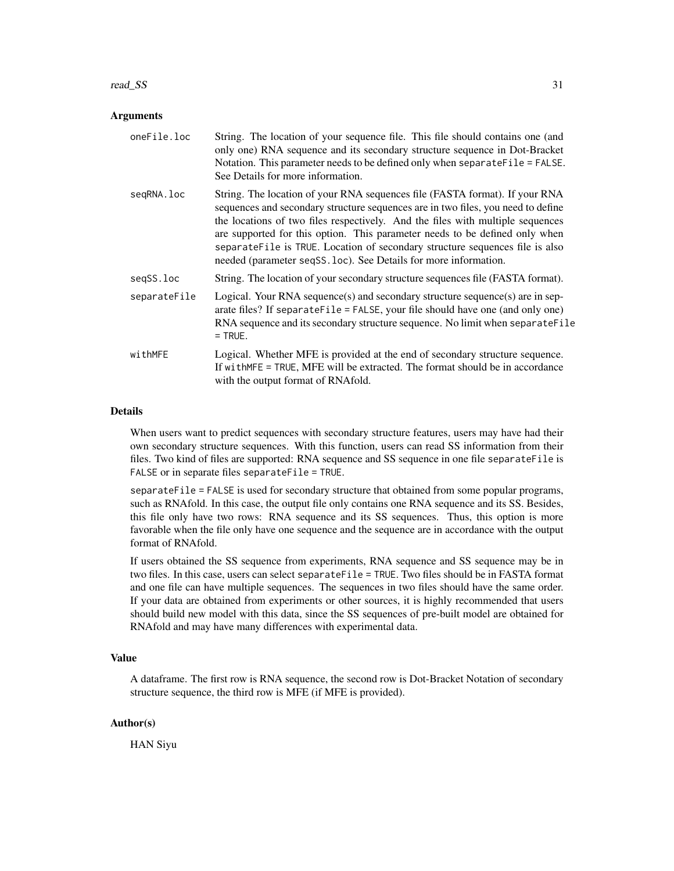#### read\_SS 31

#### Arguments

| oneFile.loc  | String. The location of your sequence file. This file should contains one (and<br>only one) RNA sequence and its secondary structure sequence in Dot-Bracket<br>Notation. This parameter needs to be defined only when separate File = FALSE.<br>See Details for more information.                                                                                                                                                                                                  |
|--------------|-------------------------------------------------------------------------------------------------------------------------------------------------------------------------------------------------------------------------------------------------------------------------------------------------------------------------------------------------------------------------------------------------------------------------------------------------------------------------------------|
| seqRNA.loc   | String. The location of your RNA sequences file (FASTA format). If your RNA<br>sequences and secondary structure sequences are in two files, you need to define<br>the locations of two files respectively. And the files with multiple sequences<br>are supported for this option. This parameter needs to be defined only when<br>separateFile is TRUE. Location of secondary structure sequences file is also<br>needed (parameter seqSS.loc). See Details for more information. |
| segSS.loc    | String. The location of your secondary structure sequences file (FASTA format).                                                                                                                                                                                                                                                                                                                                                                                                     |
| separateFile | Logical. Your RNA sequence(s) and secondary structure sequence(s) are in sep-<br>arate files? If separateFile = FALSE, your file should have one (and only one)<br>RNA sequence and its secondary structure sequence. No limit when separateFile<br>$=$ TRUE.                                                                                                                                                                                                                       |
| withMFE      | Logical. Whether MFE is provided at the end of secondary structure sequence.<br>If with MFE = TRUE, MFE will be extracted. The format should be in accordance<br>with the output format of RNAfold.                                                                                                                                                                                                                                                                                 |

#### Details

When users want to predict sequences with secondary structure features, users may have had their own secondary structure sequences. With this function, users can read SS information from their files. Two kind of files are supported: RNA sequence and SS sequence in one file separateFile is FALSE or in separate files separateFile = TRUE.

separateFile = FALSE is used for secondary structure that obtained from some popular programs, such as RNAfold. In this case, the output file only contains one RNA sequence and its SS. Besides, this file only have two rows: RNA sequence and its SS sequences. Thus, this option is more favorable when the file only have one sequence and the sequence are in accordance with the output format of RNAfold.

If users obtained the SS sequence from experiments, RNA sequence and SS sequence may be in two files. In this case, users can select separateFile = TRUE. Two files should be in FASTA format and one file can have multiple sequences. The sequences in two files should have the same order. If your data are obtained from experiments or other sources, it is highly recommended that users should build new model with this data, since the SS sequences of pre-built model are obtained for RNAfold and may have many differences with experimental data.

#### Value

A dataframe. The first row is RNA sequence, the second row is Dot-Bracket Notation of secondary structure sequence, the third row is MFE (if MFE is provided).

#### Author(s)

HAN Siyu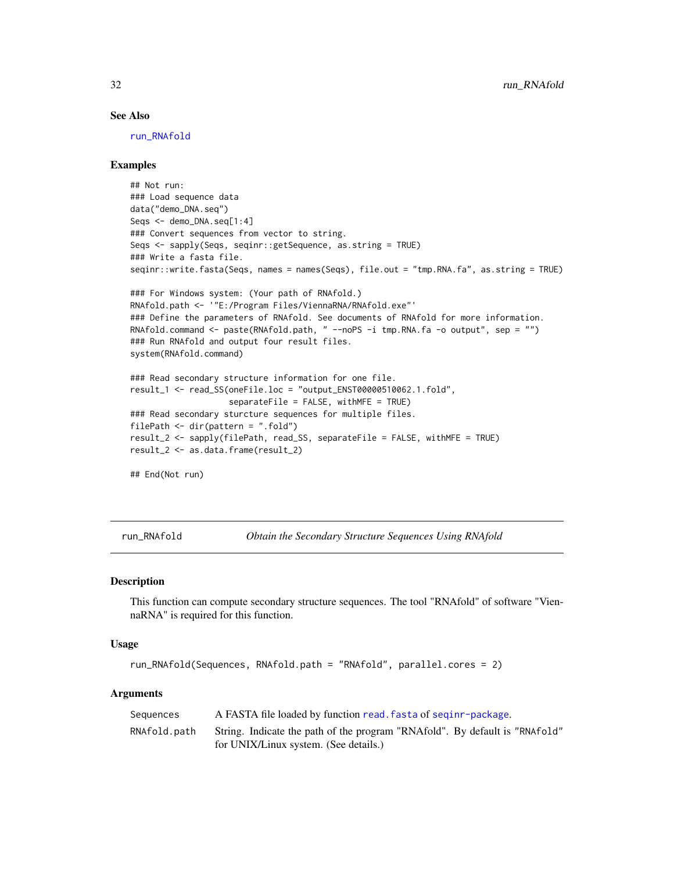#### See Also

[run\\_RNAfold](#page-31-1)

## Examples

```
## Not run:
### Load sequence data
data("demo_DNA.seq")
Seqs <- demo_DNA.seq[1:4]
### Convert sequences from vector to string.
Seqs <- sapply(Seqs, seqinr::getSequence, as.string = TRUE)
### Write a fasta file.
seqinr::write.fasta(Seqs, names = names(Seqs), file.out = "tmp.RNA.fa", as.string = TRUE)
### For Windows system: (Your path of RNAfold.)
RNAfold.path <- '"E:/Program Files/ViennaRNA/RNAfold.exe"'
### Define the parameters of RNAfold. See documents of RNAfold for more information.
RNAfold.command <- paste(RNAfold.path, " --noPS -i tmp.RNA.fa -o output", sep = "")
### Run RNAfold and output four result files.
system(RNAfold.command)
### Read secondary structure information for one file.
result_1 <- read_SS(oneFile.loc = "output_ENST00000510062.1.fold",
                    separateFile = FALSE, withMFE = TRUE)
### Read secondary sturcture sequences for multiple files.
filePath <- dir(pattern = ".fold")
result_2 <- sapply(filePath, read_SS, separateFile = FALSE, withMFE = TRUE)
result_2 <- as.data.frame(result_2)
## End(Not run)
```
<span id="page-31-1"></span>

run\_RNAfold *Obtain the Secondary Structure Sequences Using RNAfold*

#### **Description**

This function can compute secondary structure sequences. The tool "RNAfold" of software "ViennaRNA" is required for this function.

#### Usage

```
run_RNAfold(Sequences, RNAfold.path = "RNAfold", parallel.cores = 2)
```
#### Arguments

| Sequences    | A FASTA file loaded by function read. fasta of seginr-package.                                                       |
|--------------|----------------------------------------------------------------------------------------------------------------------|
| RNAfold.path | String. Indicate the path of the program "RNAfold". By default is "RNAfold"<br>for UNIX/Linux system. (See details.) |

<span id="page-31-0"></span>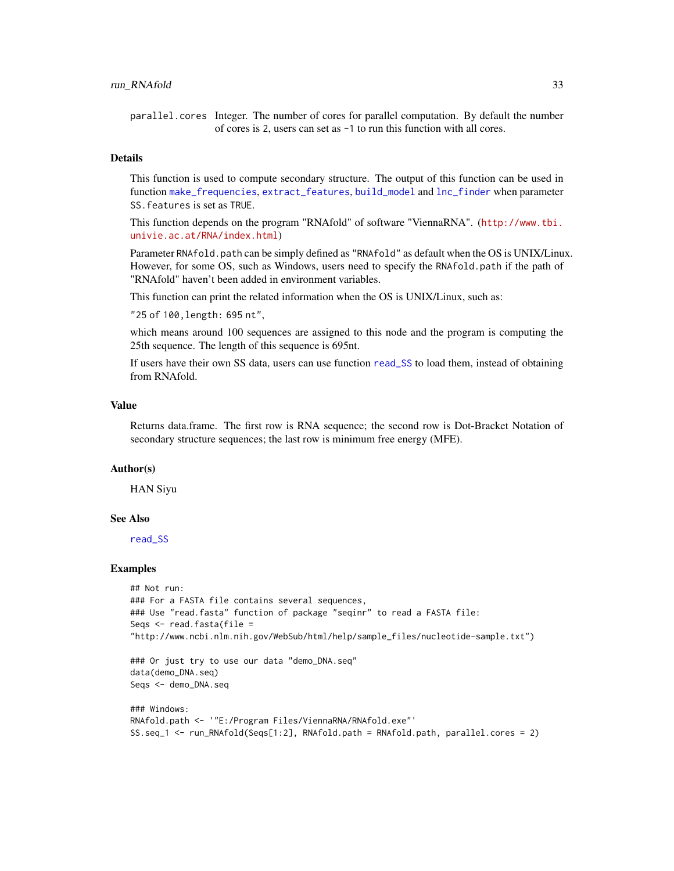#### <span id="page-32-0"></span>run\_RNAfold 33

parallel.cores Integer. The number of cores for parallel computation. By default the number of cores is 2, users can set as -1 to run this function with all cores.

#### Details

This function is used to compute secondary structure. The output of this function can be used in function [make\\_frequencies](#page-24-1), [extract\\_features](#page-19-1), [build\\_model](#page-1-1) and [lnc\\_finder](#page-22-1) when parameter SS.features is set as TRUE.

This function depends on the program "RNAfold" of software "ViennaRNA". ([http://www.tbi.](http://www.tbi.univie.ac.at/RNA/index.html) [univie.ac.at/RNA/index.html](http://www.tbi.univie.ac.at/RNA/index.html))

Parameter RNAfold.path can be simply defined as "RNAfold" as default when the OS is UNIX/Linux. However, for some OS, such as Windows, users need to specify the RNAfold.path if the path of "RNAfold" haven't been added in environment variables.

This function can print the related information when the OS is UNIX/Linux, such as:

"25 of 100,length: 695 nt",

which means around 100 sequences are assigned to this node and the program is computing the 25th sequence. The length of this sequence is 695nt.

If users have their own SS data, users can use function [read\\_SS](#page-29-1) to load them, instead of obtaining from RNAfold.

## Value

Returns data.frame. The first row is RNA sequence; the second row is Dot-Bracket Notation of secondary structure sequences; the last row is minimum free energy (MFE).

#### Author(s)

HAN Siyu

#### See Also

[read\\_SS](#page-29-1)

#### Examples

```
## Not run:
### For a FASTA file contains several sequences,
### Use "read.fasta" function of package "seqinr" to read a FASTA file:
Seqs \leq read.fasta(file =
"http://www.ncbi.nlm.nih.gov/WebSub/html/help/sample_files/nucleotide-sample.txt")
```

```
### Or just try to use our data "demo_DNA.seq"
data(demo_DNA.seq)
Seqs <- demo_DNA.seq
```

```
### Windows:
RNAfold.path <- '"E:/Program Files/ViennaRNA/RNAfold.exe"'
SS.seq_1 <- run_RNAfold(Seqs[1:2], RNAfold.path = RNAfold.path, parallel.cores = 2)
```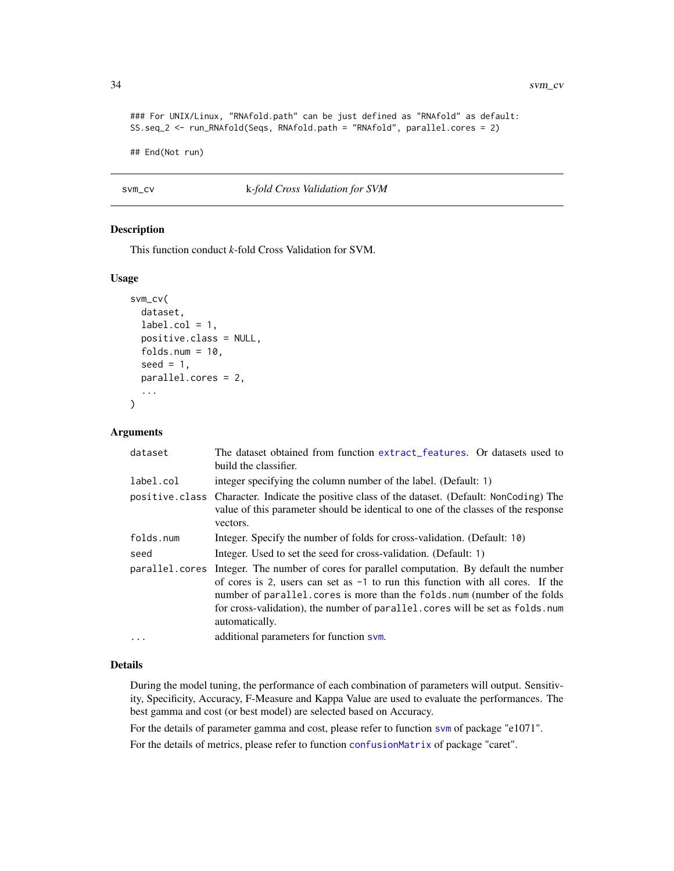```
### For UNIX/Linux, "RNAfold.path" can be just defined as "RNAfold" as default:
SS.seq_2 <- run_RNAfold(Seqs, RNAfold.path = "RNAfold", parallel.cores = 2)
```
## End(Not run)

<span id="page-33-1"></span>svm\_cv k*-fold Cross Validation for SVM*

#### Description

This function conduct *k*-fold Cross Validation for SVM.

## Usage

```
svm_cv(
  dataset,
  label.col = 1,positive.class = NULL,
  folds.num = 10,
  seed = 1,
  parallel.cores = 2,
  ...
)
```
#### Arguments

| dataset        | The dataset obtained from function extract features. Or datasets used to<br>build the classifier.                                                                                                                                                                                                                                                |
|----------------|--------------------------------------------------------------------------------------------------------------------------------------------------------------------------------------------------------------------------------------------------------------------------------------------------------------------------------------------------|
| label.col      | integer specifying the column number of the label. (Default: 1)                                                                                                                                                                                                                                                                                  |
|                | positive class Character. Indicate the positive class of the dataset. (Default: NonCoding) The<br>value of this parameter should be identical to one of the classes of the response<br>vectors.                                                                                                                                                  |
| folds.num      | Integer. Specify the number of folds for cross-validation. (Default: 10)                                                                                                                                                                                                                                                                         |
| seed           | Integer. Used to set the seed for cross-validation. (Default: 1)                                                                                                                                                                                                                                                                                 |
| parallel.cores | Integer. The number of cores for parallel computation. By default the number<br>of cores is 2, users can set as $-1$ to run this function with all cores. If the<br>number of parallel.cores is more than the folds.num (number of the folds<br>for cross-validation), the number of parallel. cores will be set as folds. num<br>automatically. |
| .              | additional parameters for function sym.                                                                                                                                                                                                                                                                                                          |

#### Details

During the model tuning, the performance of each combination of parameters will output. Sensitivity, Specificity, Accuracy, F-Measure and Kappa Value are used to evaluate the performances. The best gamma and cost (or best model) are selected based on Accuracy.

For the details of parameter gamma and cost, please refer to function [svm](#page-0-0) of package "e1071".

For the details of metrics, please refer to function [confusionMatrix](#page-0-0) of package "caret".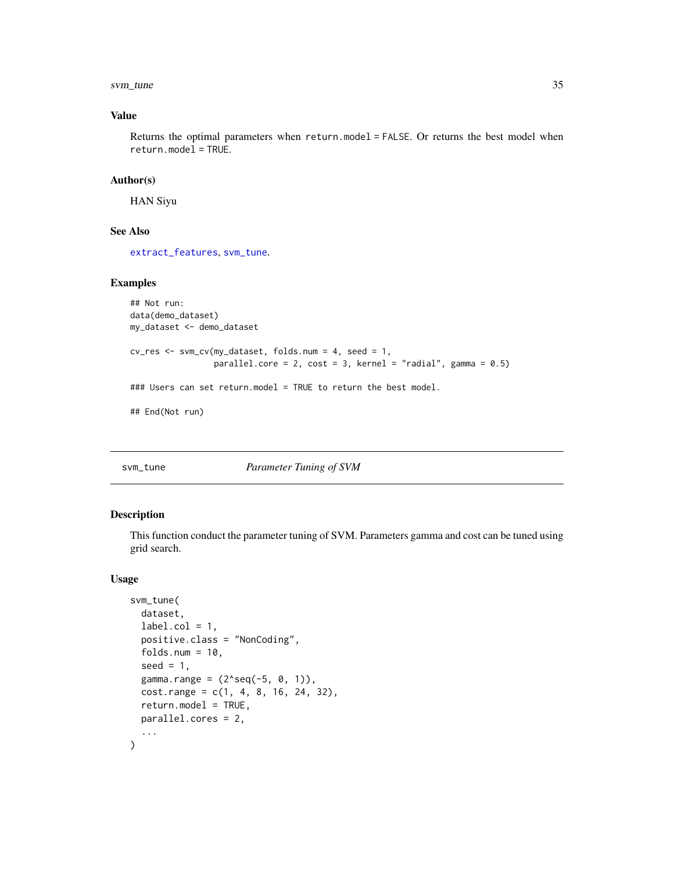#### <span id="page-34-0"></span>svm\_tune 35

## Value

Returns the optimal parameters when return.model = FALSE. Or returns the best model when return.model = TRUE.

#### Author(s)

HAN Siyu

## See Also

[extract\\_features](#page-19-1), [svm\\_tune](#page-34-1).

#### Examples

```
## Not run:
data(demo_dataset)
my_dataset <- demo_dataset
cv_res <- svm_cv(my_dataset, folds.num = 4, seed = 1,
                 parallel.core = 2, cost = 3, kernel = "radial", gamma = 0.5)
### Users can set return.model = TRUE to return the best model.
## End(Not run)
```
#### <span id="page-34-1"></span>svm\_tune *Parameter Tuning of SVM*

## Description

This function conduct the parameter tuning of SVM. Parameters gamma and cost can be tuned using grid search.

#### Usage

```
svm_tune(
  dataset,
  label.col = 1,positive.class = "NonCoding",
  folds.num = 10,
  seed = 1,
  gamma.range = (2 \text{seq}(-5, 0, 1)),cost.random = c(1, 4, 8, 16, 24, 32),return.model = TRUE,
 parallel.cores = 2,
  ...
\mathcal{L}
```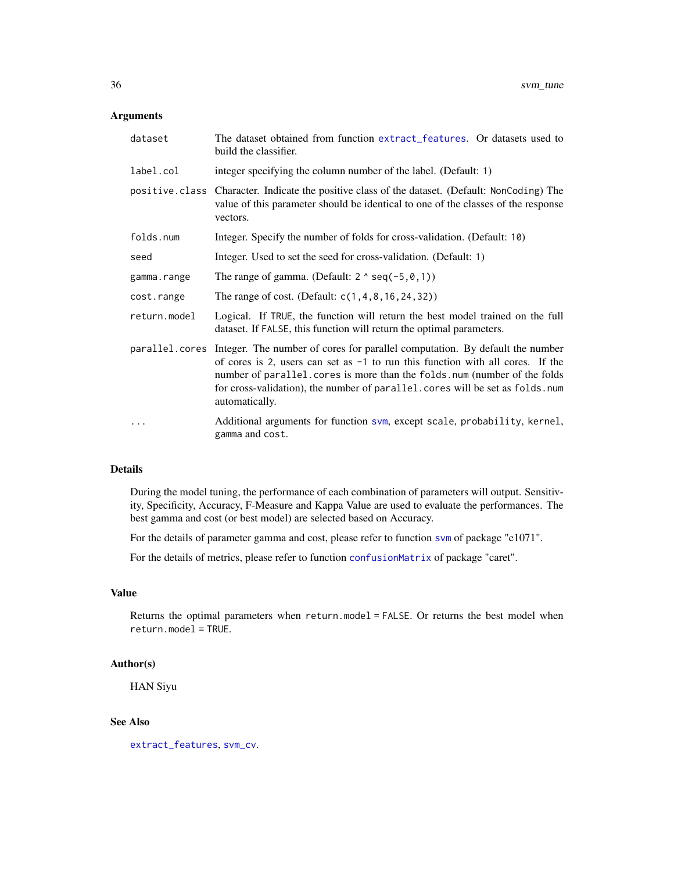## <span id="page-35-0"></span>Arguments

| dataset      | The dataset obtained from function extract_features. Or datasets used to<br>build the classifier.                                                                                                                                                                                                                                                               |
|--------------|-----------------------------------------------------------------------------------------------------------------------------------------------------------------------------------------------------------------------------------------------------------------------------------------------------------------------------------------------------------------|
| label.col    | integer specifying the column number of the label. (Default: 1)                                                                                                                                                                                                                                                                                                 |
|              | positive.class Character. Indicate the positive class of the dataset. (Default: NonCoding) The<br>value of this parameter should be identical to one of the classes of the response<br>vectors.                                                                                                                                                                 |
| folds.num    | Integer. Specify the number of folds for cross-validation. (Default: 10)                                                                                                                                                                                                                                                                                        |
| seed         | Integer. Used to set the seed for cross-validation. (Default: 1)                                                                                                                                                                                                                                                                                                |
| gamma.range  | The range of gamma. (Default: $2 \land \text{seq}(-5, 0, 1)$ )                                                                                                                                                                                                                                                                                                  |
| cost.range   | The range of cost. (Default: $c(1, 4, 8, 16, 24, 32)$ )                                                                                                                                                                                                                                                                                                         |
| return.model | Logical. If TRUE, the function will return the best model trained on the full<br>dataset. If FALSE, this function will return the optimal parameters.                                                                                                                                                                                                           |
|              | parallel.cores Integer. The number of cores for parallel computation. By default the number<br>of cores is 2, users can set as $-1$ to run this function with all cores. If the<br>number of parallel. cores is more than the folds. num (number of the folds<br>for cross-validation), the number of parallel.cores will be set as folds.num<br>automatically. |
|              | Additional arguments for function svm, except scale, probability, kernel,<br>gamma and cost.                                                                                                                                                                                                                                                                    |

#### Details

During the model tuning, the performance of each combination of parameters will output. Sensitivity, Specificity, Accuracy, F-Measure and Kappa Value are used to evaluate the performances. The best gamma and cost (or best model) are selected based on Accuracy.

For the details of parameter gamma and cost, please refer to function [svm](#page-0-0) of package "e1071".

For the details of metrics, please refer to function [confusionMatrix](#page-0-0) of package "caret".

## Value

Returns the optimal parameters when return.model = FALSE. Or returns the best model when return.model = TRUE.

#### Author(s)

HAN Siyu

## See Also

[extract\\_features](#page-19-1), [svm\\_cv](#page-33-1).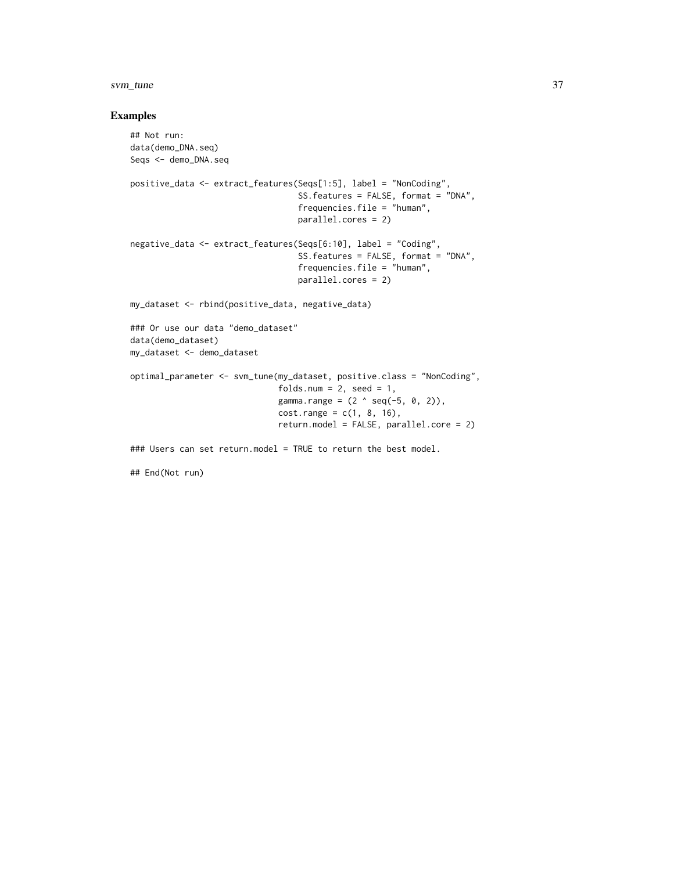#### svm\_tune 37

## Examples

```
## Not run:
data(demo_DNA.seq)
Seqs <- demo_DNA.seq
positive_data <- extract_features(Seqs[1:5], label = "NonCoding",
                                  SS.features = FALSE, format = "DNA",
                                  frequencies.file = "human",
                                  parallel.cores = 2)
negative_data <- extract_features(Seqs[6:10], label = "Coding",
                                  SS.features = FALSE, format = "DNA",
                                  frequencies.file = "human",
                                  parallel.cores = 2)
my_dataset <- rbind(positive_data, negative_data)
### Or use our data "demo_dataset"
data(demo_dataset)
my_dataset <- demo_dataset
optimal_parameter <- svm_tune(my_dataset, positive.class = "NonCoding",
                              folds.num = 2, seed = 1,
                              gamma.range = (2 \land seq(-5, 0, 2)),cost.random = c(1, 8, 16),
                              return.model = FALSE, parallel.core = 2)
### Users can set return.model = TRUE to return the best model.
```
## End(Not run)